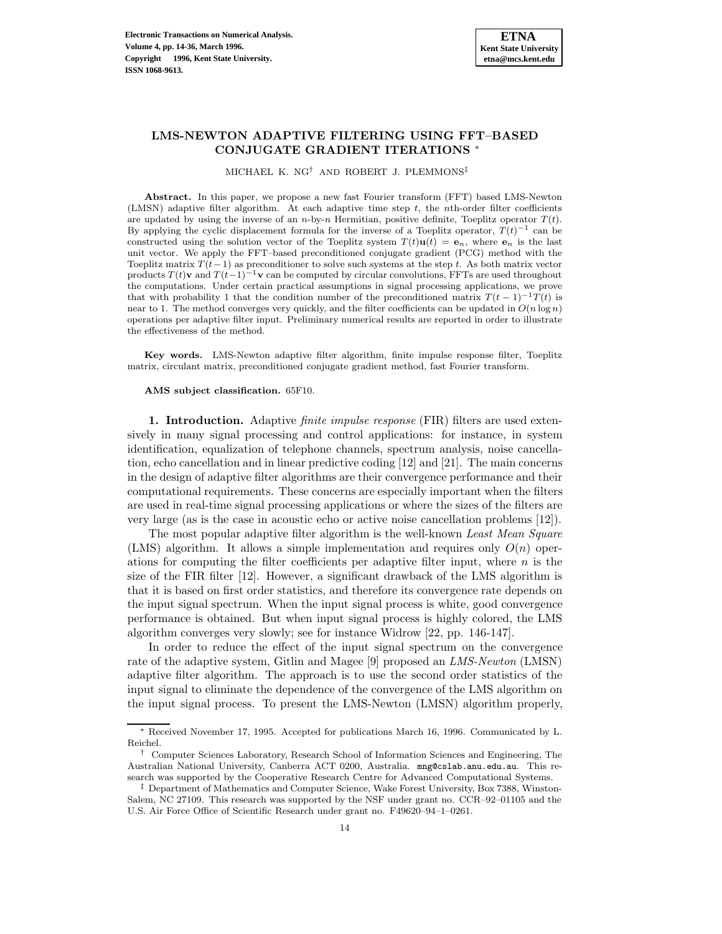# **LMS-NEWTON ADAPTIVE FILTERING USING FFT–BASED CONJUGATE GRADIENT ITERATIONS** <sup>∗</sup>

MICHAEL K.  $\rm NG^{\dag}$  AND ROBERT J. PLEMMONS‡

**Abstract.** In this paper, we propose a new fast Fourier transform (FFT) based LMS-Newton (LMSN) adaptive filter algorithm. At each adaptive time step t, the nth-order filter coefficients are updated by using the inverse of an n-by-n Hermitian, positive definite, Toeplitz operator  $T(t)$ . By applying the cyclic displacement formula for the inverse of a Toeplitz operator,  $T(t)^{-1}$  can be constructed using the solution vector of the Toeplitz system  $T(t)\mathbf{u}(t) = \mathbf{e}_n$ , where  $\mathbf{e}_n$  is the last unit vector. We apply the FFT–based preconditioned conjugate gradient (PCG) method with the Toeplitz matrix  $T(t-1)$  as preconditioner to solve such systems at the step t. As both matrix vector products  $T(t)$ **v** and  $T(t-1)^{-1}$ **v** can be computed by circular convolutions, FFTs are used throughout the computations. Under certain practical assumptions in signal processing applications, we prove that with probability 1 that the condition number of the preconditioned matrix  $T(t-1)^{-1}T(t)$  is near to 1. The method converges very quickly, and the filter coefficients can be updated in  $O(n \log n)$ operations per adaptive filter input. Preliminary numerical results are reported in order to illustrate the effectiveness of the method.

**Key words.** LMS-Newton adaptive filter algorithm, finite impulse response filter, Toeplitz matrix, circulant matrix, preconditioned conjugate gradient method, fast Fourier transform.

#### **AMS subject classification.** 65F10.

**1. Introduction.** Adaptive *finite impulse response* (FIR) filters are used extensively in many signal processing and control applications: for instance, in system identification, equalization of telephone channels, spectrum analysis, noise cancellation, echo cancellation and in linear predictive coding [12] and [21]. The main concerns in the design of adaptive filter algorithms are their convergence performance and their computational requirements. These concerns are especially important when the filters are used in real-time signal processing applications or where the sizes of the filters are very large (as is the case in acoustic echo or active noise cancellation problems [12]).

The most popular adaptive filter algorithm is the well-known Least Mean Square (LMS) algorithm. It allows a simple implementation and requires only  $O(n)$  operations for computing the filter coefficients per adaptive filter input, where  $n$  is the size of the FIR filter [12]. However, a significant drawback of the LMS algorithm is that it is based on first order statistics, and therefore its convergence rate depends on the input signal spectrum. When the input signal process is white, good convergence performance is obtained. But when input signal process is highly colored, the LMS algorithm converges very slowly; see for instance Widrow [22, pp. 146-147].

In order to reduce the effect of the input signal spectrum on the convergence rate of the adaptive system, Gitlin and Magee [9] proposed an *LMS-Newton* (LMSN) adaptive filter algorithm. The approach is to use the second order statistics of the input signal to eliminate the dependence of the convergence of the LMS algorithm on the input signal process. To present the LMS-Newton (LMSN) algorithm properly,

<sup>∗</sup> Received November 17, 1995. Accepted for publications March 16, 1996. Communicated by L. Reichel.

<sup>†</sup> Computer Sciences Laboratory, Research School of Information Sciences and Engineering, The Australian National University, Canberra ACT 0200, Australia. mng@cslab.anu.edu.au. This research was supported by the Cooperative Research Centre for Advanced Computational Systems.

<sup>‡</sup> Department of Mathematics and Computer Science, Wake Forest University, Box 7388, Winston-Salem, NC 27109. This research was supported by the NSF under grant no. CCR–92–01105 and the U.S. Air Force Office of Scientific Research under grant no. F49620–94–1–0261.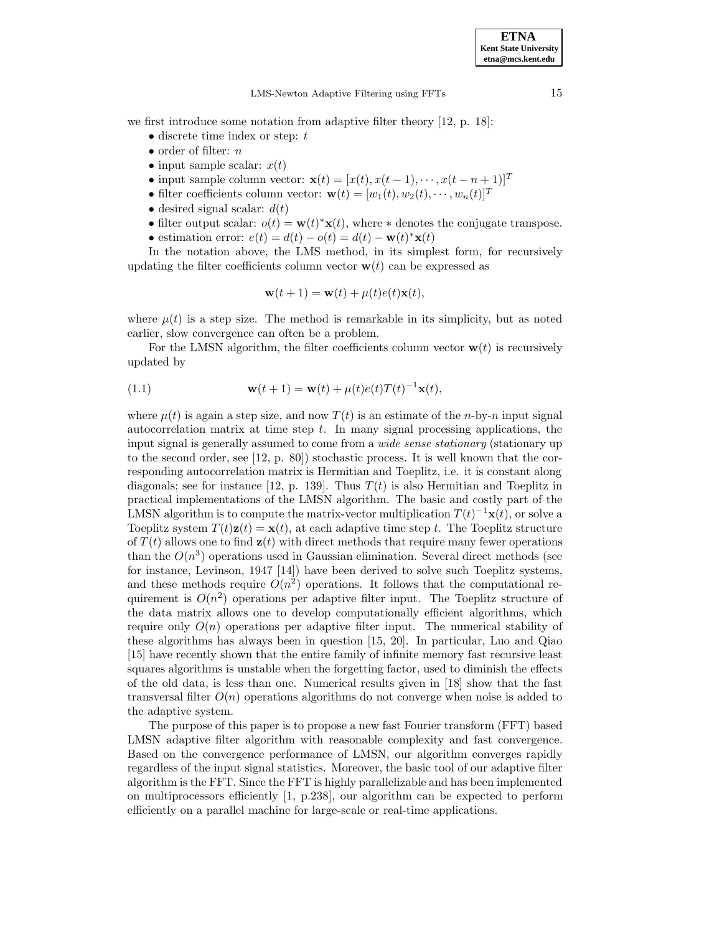we first introduce some notation from adaptive filter theory [12, p. 18]:

- discrete time index or step:  $t$
- order of filter:  $n$
- input sample scalar:  $x(t)$
- input sample column vector:  $\mathbf{x}(t)=[x(t),x(t-1),\cdots,x(t-n+1)]^T$
- filter coefficients column vector:  $\mathbf{w}(t)=[w_1(t),w_2(t),\cdots,w_n(t)]^T$
- desired signal scalar:  $d(t)$
- filter output scalar:  $o(t) = \mathbf{w}(t) * \mathbf{x}(t)$ , where  $*$  denotes the conjugate transpose.
- estimation error:  $e(t) = d(t) o(t) = d(t) \mathbf{w}(t)^* \mathbf{x}(t)$

In the notation above, the LMS method, in its simplest form, for recursively updating the filter coefficients column vector  $\mathbf{w}(t)$  can be expressed as

$$
\mathbf{w}(t+1) = \mathbf{w}(t) + \mu(t)e(t)\mathbf{x}(t),
$$

where  $\mu(t)$  is a step size. The method is remarkable in its simplicity, but as noted earlier, slow convergence can often be a problem.

For the LMSN algorithm, the filter coefficients column vector  $\mathbf{w}(t)$  is recursively updated by

(1.1) 
$$
\mathbf{w}(t+1) = \mathbf{w}(t) + \mu(t)e(t)T(t)^{-1}\mathbf{x}(t),
$$

where  $\mu(t)$  is again a step size, and now  $T(t)$  is an estimate of the *n*-by-*n* input signal autocorrelation matrix at time step  $t$ . In many signal processing applications, the input signal is generally assumed to come from a *wide sense stationary* (stationary up to the second order, see [12, p. 80]) stochastic process. It is well known that the corresponding autocorrelation matrix is Hermitian and Toeplitz, i.e. it is constant along diagonals; see for instance [12, p. 139]. Thus  $T(t)$  is also Hermitian and Toeplitz in practical implementations of the LMSN algorithm. The basic and costly part of the LMSN algorithm is to compute the matrix-vector multiplication  $T(t)^{-1}\mathbf{x}(t)$ , or solve a Toeplitz system  $T(t)\mathbf{z}(t) = \mathbf{x}(t)$ , at each adaptive time step t. The Toeplitz structure of  $T(t)$  allows one to find  $z(t)$  with direct methods that require many fewer operations than the  $O(n^3)$  operations used in Gaussian elimination. Several direct methods (see for instance, Levinson, 1947 [14]) have been derived to solve such Toeplitz systems, and these methods require  $O(n^2)$  operations. It follows that the computational requirement is  $O(n^2)$  operations per adaptive filter input. The Toeplitz structure of the data matrix allows one to develop computationally efficient algorithms, which require only  $O(n)$  operations per adaptive filter input. The numerical stability of these algorithms has always been in question [15, 20]. In particular, Luo and Qiao [15] have recently shown that the entire family of infinite memory fast recursive least squares algorithms is unstable when the forgetting factor, used to diminish the effects of the old data, is less than one. Numerical results given in [18] show that the fast transversal filter  $O(n)$  operations algorithms do not converge when noise is added to the adaptive system.

The purpose of this paper is to propose a new fast Fourier transform (FFT) based LMSN adaptive filter algorithm with reasonable complexity and fast convergence. Based on the convergence performance of LMSN, our algorithm converges rapidly regardless of the input signal statistics. Moreover, the basic tool of our adaptive filter algorithm is the FFT. Since the FFT is highly parallelizable and has been implemented on multiprocessors efficiently [1, p.238], our algorithm can be expected to perform efficiently on a parallel machine for large-scale or real-time applications.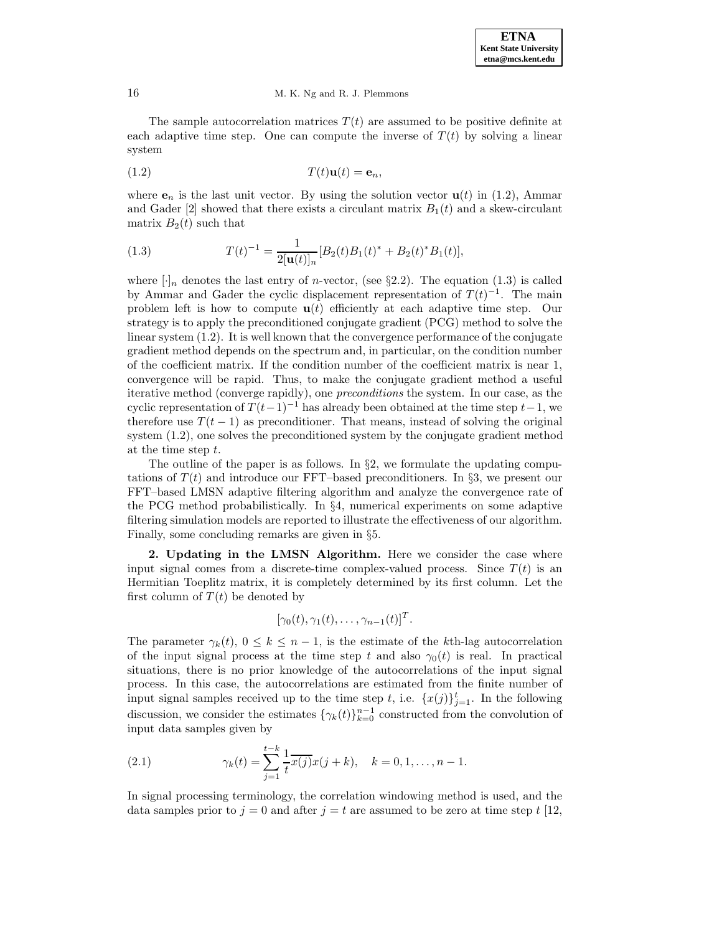The sample autocorrelation matrices  $T(t)$  are assumed to be positive definite at each adaptive time step. One can compute the inverse of  $T(t)$  by solving a linear system

$$
(1.2) \t\t T(t)\mathbf{u}(t) = \mathbf{e}_n,
$$

where  $e_n$  is the last unit vector. By using the solution vector  $u(t)$  in (1.2), Ammar and Gader  $[2]$  showed that there exists a circulant matrix  $B_1(t)$  and a skew-circulant matrix  $B_2(t)$  such that

(1.3) 
$$
T(t)^{-1} = \frac{1}{2[\mathbf{u}(t)]_n} [B_2(t)B_1(t)^* + B_2(t)^*B_1(t)],
$$

where  $\lceil \cdot \rceil_n$  denotes the last entry of *n*-vector, (see §2.2). The equation (1.3) is called by Ammar and Gader the cyclic displacement representation of  $T(t)^{-1}$ . The main problem left is how to compute  $\mathbf{u}(t)$  efficiently at each adaptive time step. Our strategy is to apply the preconditioned conjugate gradient (PCG) method to solve the linear system (1.2). It is well known that the convergence performance of the conjugate gradient method depends on the spectrum and, in particular, on the condition number of the coefficient matrix. If the condition number of the coefficient matrix is near 1, convergence will be rapid. Thus, to make the conjugate gradient method a useful iterative method (converge rapidly), one preconditions the system. In our case, as the cyclic representation of  $T(t-1)^{-1}$  has already been obtained at the time step  $t-1$ , we therefore use  $T(t-1)$  as preconditioner. That means, instead of solving the original system (1.2), one solves the preconditioned system by the conjugate gradient method at the time step t.

The outline of the paper is as follows. In  $\S2$ , we formulate the updating computations of  $T(t)$  and introduce our FFT–based preconditioners. In §3, we present our FFT–based LMSN adaptive filtering algorithm and analyze the convergence rate of the PCG method probabilistically. In §4, numerical experiments on some adaptive filtering simulation models are reported to illustrate the effectiveness of our algorithm. Finally, some concluding remarks are given in §5.

**2. Updating in the LMSN Algorithm.** Here we consider the case where input signal comes from a discrete-time complex-valued process. Since  $T(t)$  is an Hermitian Toeplitz matrix, it is completely determined by its first column. Let the first column of  $T(t)$  be denoted by

$$
[\gamma_0(t), \gamma_1(t), \ldots, \gamma_{n-1}(t)]^T.
$$

The parameter  $\gamma_k(t)$ ,  $0 \leq k \leq n-1$ , is the estimate of the kth-lag autocorrelation of the input signal process at the time step t and also  $\gamma_0(t)$  is real. In practical situations, there is no prior knowledge of the autocorrelations of the input signal process. In this case, the autocorrelations are estimated from the finite number of input signal samples received up to the time step t, i.e.  $\{x(j)\}_{j=1}^t$ . In the following discussion, we consider the estimates  $\{\gamma_k(t)\}_{k=0}^{n-1}$  constructed from the convolution of input data samples given by

(2.1) 
$$
\gamma_k(t) = \sum_{j=1}^{t-k} \frac{1}{t} \overline{x(j)} x(j+k), \quad k = 0, 1, ..., n-1.
$$

In signal processing terminology, the correlation windowing method is used, and the data samples prior to  $j = 0$  and after  $j = t$  are assumed to be zero at time step t [12,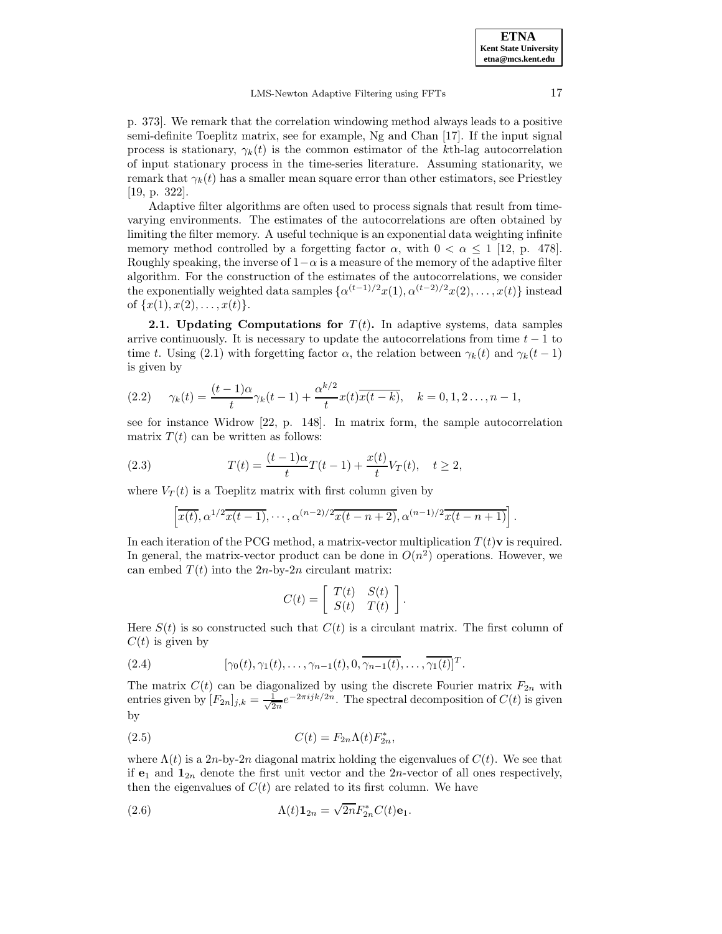p. 373]. We remark that the correlation windowing method always leads to a positive semi-definite Toeplitz matrix, see for example, Ng and Chan [17]. If the input signal process is stationary,  $\gamma_k(t)$  is the common estimator of the kth-lag autocorrelation of input stationary process in the time-series literature. Assuming stationarity, we remark that  $\gamma_k(t)$  has a smaller mean square error than other estimators, see Priestley [19, p. 322].

Adaptive filter algorithms are often used to process signals that result from timevarying environments. The estimates of the autocorrelations are often obtained by limiting the filter memory. A useful technique is an exponential data weighting infinite memory method controlled by a forgetting factor  $\alpha$ , with  $0 < \alpha \leq 1$  [12, p. 478]. Roughly speaking, the inverse of  $1-\alpha$  is a measure of the memory of the adaptive filter algorithm. For the construction of the estimates of the autocorrelations, we consider the exponentially weighted data samples  $\{\alpha^{(t-1)/2}x(1), \alpha^{(t-2)/2}x(2), \ldots, x(t)\}\)$  instead of  $\{x(1), x(2), \ldots, x(t)\}.$ 

**2.1. Updating Computations for**  $T(t)$ . In adaptive systems, data samples arrive continuously. It is necessary to update the autocorrelations from time  $t - 1$  to time t. Using (2.1) with forgetting factor  $\alpha$ , the relation between  $\gamma_k(t)$  and  $\gamma_k(t-1)$ is given by

(2.2) 
$$
\gamma_k(t) = \frac{(t-1)\alpha}{t}\gamma_k(t-1) + \frac{\alpha^{k/2}}{t}x(t)\overline{x(t-k)}, \quad k = 0, 1, 2, ..., n-1,
$$

see for instance Widrow [22, p. 148]. In matrix form, the sample autocorrelation matrix  $T(t)$  can be written as follows:

(2.3) 
$$
T(t) = \frac{(t-1)\alpha}{t}T(t-1) + \frac{x(t)}{t}V_T(t), \quad t \ge 2,
$$

where  $V_T(t)$  is a Toeplitz matrix with first column given by

$$
\left[\overline{x(t)}, \alpha^{1/2}\overline{x(t-1)}, \cdots, \alpha^{(n-2)/2}\overline{x(t-n+2)}, \alpha^{(n-1)/2}\overline{x(t-n+1)}\right].
$$

In each iteration of the PCG method, a matrix-vector multiplication  $T(t)\mathbf{v}$  is required. In general, the matrix-vector product can be done in  $O(n^2)$  operations. However, we can embed  $T(t)$  into the 2n-by-2n circulant matrix:

$$
C(t) = \left[ \begin{array}{cc} T(t) & S(t) \\ S(t) & T(t) \end{array} \right]
$$

.

Here  $S(t)$  is so constructed such that  $C(t)$  is a circulant matrix. The first column of  $C(t)$  is given by

(2.4) 
$$
[\gamma_0(t), \gamma_1(t), \ldots, \gamma_{n-1}(t), 0, \overline{\gamma_{n-1}(t)}, \ldots, \overline{\gamma_1(t)}]^T.
$$

The matrix  $C(t)$  can be diagonalized by using the discrete Fourier matrix  $F_{2n}$  with entries given by  $[F_{2n}]_{j,k} = \frac{1}{\sqrt{2n}} e^{-2\pi i jk/2n}$ . The spectral decomposition of  $C(t)$  is given by

$$
C(t) = F_{2n}\Lambda(t)F_{2n}^*,
$$

where  $\Lambda(t)$  is a 2n-by-2n diagonal matrix holding the eigenvalues of  $C(t)$ . We see that if  $e_1$  and  $\mathbf{1}_{2n}$  denote the first unit vector and the  $2n$ -vector of all ones respectively, then the eigenvalues of  $C(t)$  are related to its first column. We have

(2.6) 
$$
\Lambda(t)\mathbf{1}_{2n} = \sqrt{2n}F_{2n}^*C(t)\mathbf{e}_1.
$$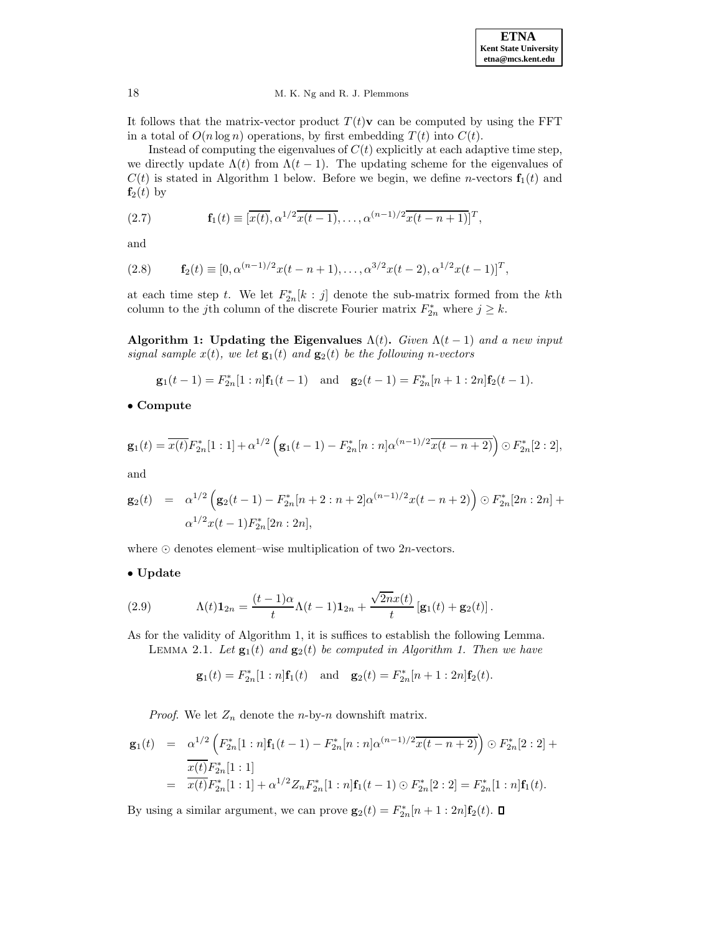

It follows that the matrix-vector product  $T(t)\mathbf{v}$  can be computed by using the FFT in a total of  $O(n \log n)$  operations, by first embedding  $T(t)$  into  $C(t)$ .

Instead of computing the eigenvalues of  $C(t)$  explicitly at each adaptive time step, we directly update  $\Lambda(t)$  from  $\Lambda(t-1)$ . The updating scheme for the eigenvalues of  $C(t)$  is stated in Algorithm 1 below. Before we begin, we define *n*-vectors  $f_1(t)$  and  $f_2(t)$  by

(2.7) 
$$
\mathbf{f}_1(t) \equiv [\overline{x(t)}, \alpha^{1/2} \overline{x(t-1)}, \dots, \alpha^{(n-1)/2} \overline{x(t-n+1)}]^T,
$$

and

(2.8) 
$$
\mathbf{f}_2(t) \equiv [0, \alpha^{(n-1)/2}x(t-n+1), \ldots, \alpha^{3/2}x(t-2), \alpha^{1/2}x(t-1)]^T,
$$

at each time step t. We let  $F_{2n}^*[k : j]$  denote the sub-matrix formed from the kth column to the jth column of the discrete Fourier matrix  $F_{2n}^*$  where  $j \geq k$ .

**Algorithm 1: Updating the Eigenvalues**  $\Lambda(t)$ . Given  $\Lambda(t-1)$  and a new input signal sample  $x(t)$ , we let  $\mathbf{g}_1(t)$  and  $\mathbf{g}_2(t)$  be the following n-vectors

$$
\mathbf{g}_1(t-1) = F_{2n}^*[1:n]\mathbf{f}_1(t-1)
$$
 and  $\mathbf{g}_2(t-1) = F_{2n}^*[n+1:2n]\mathbf{f}_2(t-1)$ .

• **Compute**

$$
\mathbf{g}_1(t) = \overline{x(t)} F_{2n}^*[1:1] + \alpha^{1/2} \left( \mathbf{g}_1(t-1) - F_{2n}^*[n:n] \alpha^{(n-1)/2} \overline{x(t-n+2)} \right) \odot F_{2n}^*[2:2],
$$

and

$$
\mathbf{g}_2(t) = \alpha^{1/2} \left( \mathbf{g}_2(t-1) - F_{2n}^*[n+2:n+2] \alpha^{(n-1)/2} x(t-n+2) \right) \odot F_{2n}^*[2n:2n] + \alpha^{1/2} x(t-1) F_{2n}^*[2n:2n],
$$

where  $\odot$  denotes element–wise multiplication of two 2*n*-vectors.

# • **Update**

(2.9) 
$$
\Lambda(t)\mathbf{1}_{2n} = \frac{(t-1)\alpha}{t}\Lambda(t-1)\mathbf{1}_{2n} + \frac{\sqrt{2n}x(t)}{t} \left[\mathbf{g}_1(t) + \mathbf{g}_2(t)\right].
$$

As for the validity of Algorithm 1, it is suffices to establish the following Lemma.

LEMMA 2.1. Let  $\mathbf{g}_1(t)$  and  $\mathbf{g}_2(t)$  be computed in Algorithm 1. Then we have

$$
\mathbf{g}_1(t) = F_{2n}^*[1:n]\mathbf{f}_1(t)
$$
 and  $\mathbf{g}_2(t) = F_{2n}^*[n+1:2n]\mathbf{f}_2(t)$ .

*Proof.* We let  $Z_n$  denote the *n*-by-*n* downshift matrix.

$$
\mathbf{g}_1(t) = \alpha^{1/2} \left( F_{2n}^*[1:n] \mathbf{f}_1(t-1) - F_{2n}^*[n:n] \alpha^{(n-1)/2} \overline{x(t-n+2)} \right) \odot F_{2n}^*[2:2] + \frac{\overline{x(t)} F_{2n}^*[1:1]}{\overline{x(t)} F_{2n}^*[1:1] + \alpha^{1/2} Z_n F_{2n}^*[1:n] \mathbf{f}_1(t-1) \odot F_{2n}^*[2:2] = F_{2n}^*[1:n] \mathbf{f}_1(t).
$$

By using a similar argument, we can prove  $\mathbf{g}_2(t) = F_{2n}^*[n+1:2n]\mathbf{f}_2(t)$ .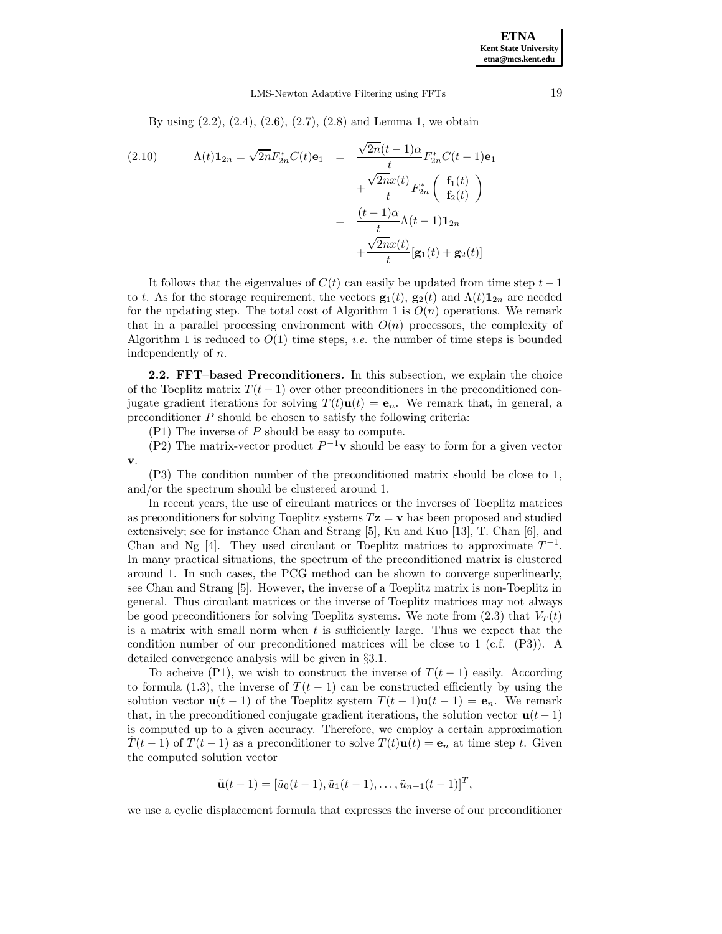By using (2.2), (2.4), (2.6), (2.7), (2.8) and Lemma 1, we obtain

(2.10) 
$$
\Lambda(t) \mathbf{1}_{2n} = \sqrt{2n} F_{2n}^* C(t) \mathbf{e}_1 = \frac{\sqrt{2n}(t-1)\alpha}{t} F_{2n}^* C(t-1) \mathbf{e}_1 + \frac{\sqrt{2n} x(t)}{t} F_{2n}^* \left( \begin{array}{c} \mathbf{f}_1(t) \\ \mathbf{f}_2(t) \end{array} \right) = \frac{(t-1)\alpha}{t} \Lambda(t-1) \mathbf{1}_{2n} + \frac{\sqrt{2n} x(t)}{t} [\mathbf{g}_1(t) + \mathbf{g}_2(t)]
$$

It follows that the eigenvalues of  $C(t)$  can easily be updated from time step  $t-1$ to t. As for the storage requirement, the vectors  $\mathbf{g}_1(t)$ ,  $\mathbf{g}_2(t)$  and  $\Lambda(t)\mathbf{1}_{2n}$  are needed for the updating step. The total cost of Algorithm 1 is  $O(n)$  operations. We remark that in a parallel processing environment with  $O(n)$  processors, the complexity of Algorithm 1 is reduced to  $O(1)$  time steps, *i.e.* the number of time steps is bounded independently of n.

**2.2. FFT–based Preconditioners.** In this subsection, we explain the choice of the Toeplitz matrix  $T(t-1)$  over other preconditioners in the preconditioned conjugate gradient iterations for solving  $T(t)\mathbf{u}(t) = \mathbf{e}_n$ . We remark that, in general, a preconditioner  $P$  should be chosen to satisfy the following criteria:

(P1) The inverse of P should be easy to compute.

(P2) The matrix-vector product  $P^{-1}$ **v** should be easy to form for a given vector **v**.

(P3) The condition number of the preconditioned matrix should be close to 1, and/or the spectrum should be clustered around 1.

In recent years, the use of circulant matrices or the inverses of Toeplitz matrices as preconditioners for solving Toeplitz systems  $T\mathbf{z} = \mathbf{v}$  has been proposed and studied extensively; see for instance Chan and Strang [5], Ku and Kuo [13], T. Chan [6], and Chan and Ng [4]. They used circulant or Toeplitz matrices to approximate  $T^{-1}$ . In many practical situations, the spectrum of the preconditioned matrix is clustered around 1. In such cases, the PCG method can be shown to converge superlinearly, see Chan and Strang [5]. However, the inverse of a Toeplitz matrix is non-Toeplitz in general. Thus circulant matrices or the inverse of Toeplitz matrices may not always be good preconditioners for solving Toeplitz systems. We note from  $(2.3)$  that  $V_T(t)$ is a matrix with small norm when t is sufficiently large. Thus we expect that the condition number of our preconditioned matrices will be close to 1 (c.f. (P3)). A detailed convergence analysis will be given in §3.1.

To acheive (P1), we wish to construct the inverse of  $T(t-1)$  easily. According to formula (1.3), the inverse of  $T(t-1)$  can be constructed efficiently by using the solution vector **u**(t − 1) of the Toeplitz system  $T(t - 1)$ **u**(t − 1) = **e**<sub>n</sub>. We remark that, in the preconditioned conjugate gradient iterations, the solution vector  $\mathbf{u}(t-1)$ is computed up to a given accuracy. Therefore, we employ a certain approximation  $T(t-1)$  of  $T(t-1)$  as a preconditioner to solve  $T(t)\mathbf{u}(t) = \mathbf{e}_n$  at time step t. Given the computed solution vector

$$
\tilde{\mathbf{u}}(t-1) = [\tilde{u}_0(t-1), \tilde{u}_1(t-1), \dots, \tilde{u}_{n-1}(t-1)]^T,
$$

we use a cyclic displacement formula that expresses the inverse of our preconditioner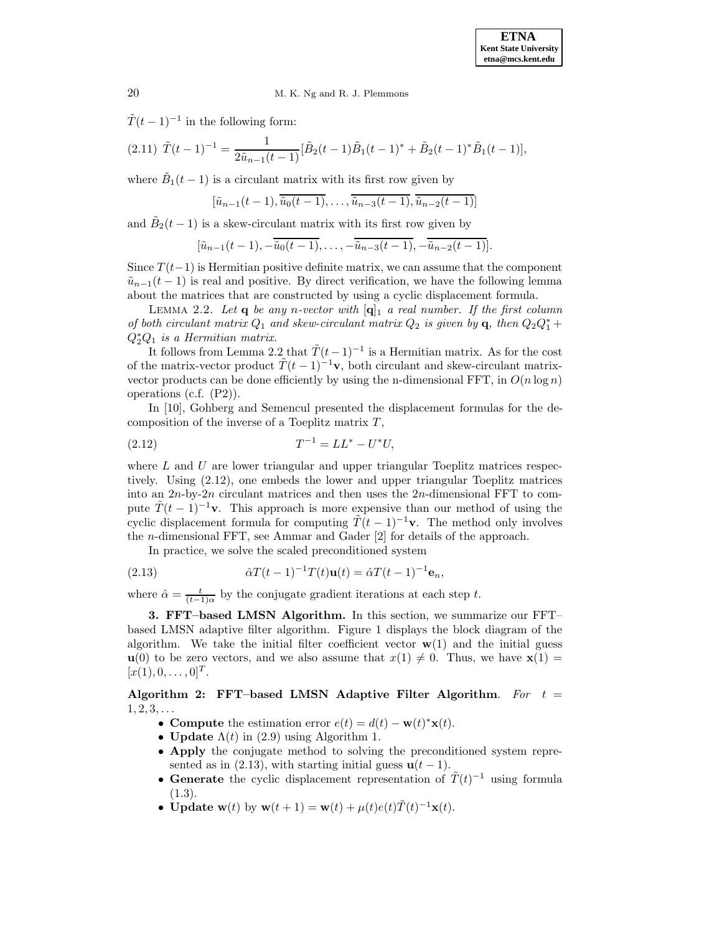$\tilde{T}(t-1)^{-1}$  in the following form:

$$
(2.11)\ \tilde{T}(t-1)^{-1} = \frac{1}{2\tilde{u}_{n-1}(t-1)} [\tilde{B}_2(t-1)\tilde{B}_1(t-1)^* + \tilde{B}_2(t-1)^*\tilde{B}_1(t-1)],
$$

where  $B_1(t-1)$  is a circulant matrix with its first row given by

$$
[\tilde{u}_{n-1}(t-1), \overline{\tilde{u}_0(t-1)}, \ldots, \overline{\tilde{u}_{n-3}(t-1)}, \overline{\tilde{u}_{n-2}(t-1)}]
$$

and  $B_2(t-1)$  is a skew-circulant matrix with its first row given by

$$
[\tilde{u}_{n-1}(t-1), -\overline{\tilde{u}_0(t-1)}, \ldots, -\overline{\tilde{u}_{n-3}(t-1)}, -\overline{\tilde{u}_{n-2}(t-1)}].
$$

Since  $T(t-1)$  is Hermitian positive definite matrix, we can assume that the component  $\tilde{u}_{n-1}(t-1)$  is real and positive. By direct verification, we have the following lemma about the matrices that are constructed by using a cyclic displacement formula.

LEMMA 2.2. Let  $q$  be any n-vector with  $[q]_1$  a real number. If the first column of both circulant matrix  $Q_1$  and skew-circulant matrix  $Q_2$  is given by **q**, then  $Q_2Q_1^*$  +  $Q_2^*Q_1$  is a Hermitian matrix.

It follows from Lemma 2.2 that  $\tilde{T}(t-1)^{-1}$  is a Hermitian matrix. As for the cost of the matrix-vector product  $\tilde{T}(t-1)^{-1}$ **v**, both circulant and skew-circulant matrixvector products can be done efficiently by using the n-dimensional FFT, in  $O(n \log n)$ operations (c.f. (P2)).

In [10], Gohberg and Semencul presented the displacement formulas for the decomposition of the inverse of a Toeplitz matrix  $T$ ,

(2.12) 
$$
T^{-1} = LL^* - U^*U,
$$

where  $L$  and  $U$  are lower triangular and upper triangular Toeplitz matrices respectively. Using (2.12), one embeds the lower and upper triangular Toeplitz matrices into an  $2n$ -by- $2n$  circulant matrices and then uses the  $2n$ -dimensional FFT to compute  $\tilde{T}(t-1)^{-1}$ **v**. This approach is more expensive than our method of using the cyclic displacement formula for computing  $\tilde{T}(t-1)^{-1}$ **v**. The method only involves the n-dimensional FFT, see Ammar and Gader [2] for details of the approach.

In practice, we solve the scaled preconditioned system

(2.13) 
$$
\hat{\alpha}T(t-1)^{-1}T(t)\mathbf{u}(t) = \hat{\alpha}T(t-1)^{-1}\mathbf{e}_n,
$$

where  $\hat{\alpha} = \frac{t}{(t-1)\alpha}$  by the conjugate gradient iterations at each step t.

**3. FFT–based LMSN Algorithm.** In this section, we summarize our FFT– based LMSN adaptive filter algorithm. Figure 1 displays the block diagram of the algorithm. We take the initial filter coefficient vector  $w(1)$  and the initial guess **u**(0) to be zero vectors, and we also assume that  $x(1) \neq 0$ . Thus, we have  $\mathbf{x}(1) =$  $[x(1), 0, \ldots, 0]^T$ .

**Algorithm 2: FFT–based LMSN Adaptive Filter Algorithm**. For t =  $1, 2, 3, \ldots$ 

- **Compute** the estimation error  $e(t) = d(t) \mathbf{w}(t)^* \mathbf{x}(t)$ .
- **Update**  $\Lambda(t)$  in (2.9) using Algorithm 1.
- **Apply** the conjugate method to solving the preconditioned system represented as in  $(2.13)$ , with starting initial guess  $\mathbf{u}(t-1)$ .
- **Generate** the cyclic displacement representation of  $\tilde{T}(t)^{-1}$  using formula  $(1.3).$
- **Update w**(t) by  $\mathbf{w}(t + 1) = \mathbf{w}(t) + \mu(t)e(t)\tilde{T}(t)^{-1}\mathbf{x}(t).$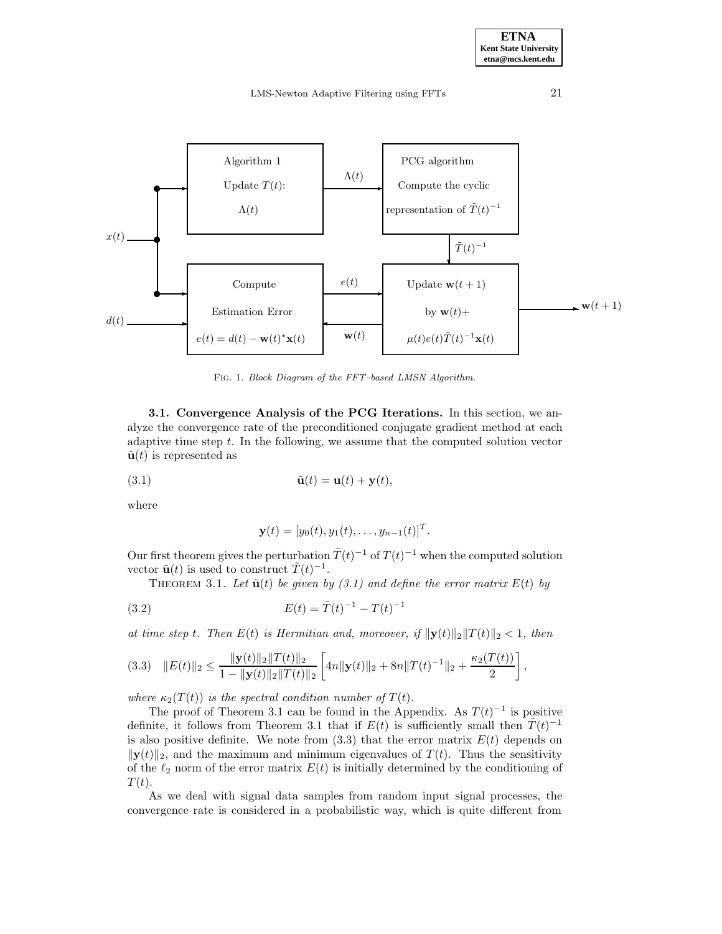LMS-Newton Adaptive Filtering using FFTs 21



Fig. 1. Block Diagram of the FFT–based LMSN Algorithm.

**3.1. Convergence Analysis of the PCG Iterations.** In this section, we analyze the convergence rate of the preconditioned conjugate gradient method at each adaptive time step t. In the following, we assume that the computed solution vector  $\tilde{\mathbf{u}}(t)$  is represented as

(3.1) 
$$
\tilde{\mathbf{u}}(t) = \mathbf{u}(t) + \mathbf{y}(t),
$$

where

$$
\mathbf{y}(t) = [y_0(t), y_1(t), \dots, y_{n-1}(t)]^T.
$$

Our first theorem gives the perturbation  $\tilde{T}(t)^{-1}$  of  $T(t)^{-1}$  when the computed solution vector  $\tilde{\mathbf{u}}(t)$  is used to construct  $\tilde{T}(t)^{-1}$ .

THEOREM 3.1. Let  $\tilde{\mathbf{u}}(t)$  be given by (3.1) and define the error matrix  $E(t)$  by

(3.2) 
$$
E(t) = \tilde{T}(t)^{-1} - T(t)^{-1}
$$

at time step t. Then  $E(t)$  is Hermitian and, moreover, if  $\|\mathbf{y}(t)\|_2 \|T(t)\|_2 < 1$ , then

$$
(3.3) \quad \|E(t)\|_2 \leq \frac{\|\mathbf{y}(t)\|_2 \|T(t)\|_2}{1 - \|\mathbf{y}(t)\|_2 \|T(t)\|_2} \left[ 4n \|\mathbf{y}(t)\|_2 + 8n \|T(t)^{-1}\|_2 + \frac{\kappa_2(T(t))}{2} \right],
$$

where  $\kappa_2(T(t))$  is the spectral condition number of  $T(t)$ .

The proof of Theorem 3.1 can be found in the Appendix. As  $T(t)^{-1}$  is positive definite, it follows from Theorem 3.1 that if  $E(t)$  is sufficiently small then  $\tilde{T}(t)^{-1}$ is also positive definite. We note from  $(3.3)$  that the error matrix  $E(t)$  depends on  $\|\mathbf{y}(t)\|_2$ , and the maximum and minimum eigenvalues of  $T(t)$ . Thus the sensitivity of the  $\ell_2$  norm of the error matrix  $E(t)$  is initially determined by the conditioning of  $T(t)$ .

As we deal with signal data samples from random input signal processes, the convergence rate is considered in a probabilistic way, which is quite different from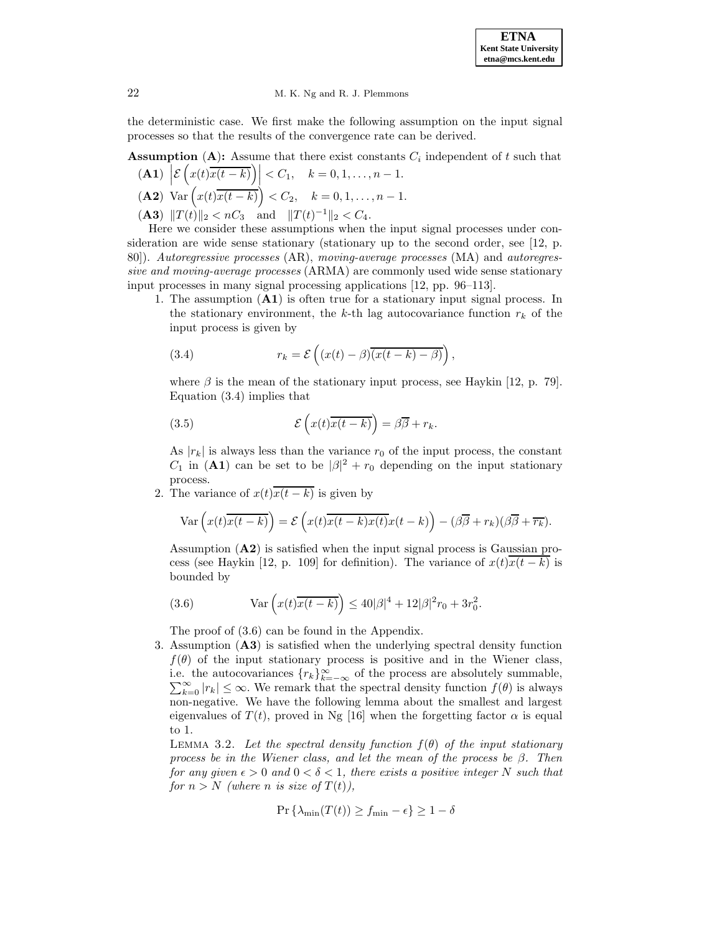# 22 M. K. Ng and R. J. Plemmons

the deterministic case. We first make the following assumption on the input signal processes so that the results of the convergence rate can be derived.

**Assumption** (A): Assume that there exist constants  $C_i$  independent of t such that

$$
\begin{aligned} \mathbf{(A1)} \left| \mathcal{E}\left(x(t)\overline{x(t-k)}\right) \right| &< C_1, \quad k = 0, 1, \dots, n-1.\\ \mathbf{(A2)} \text{ Var}\left(x(t)\overline{x(t-k)}\right) &< C_2, \quad k = 0, 1, \dots, n-1. \end{aligned}
$$

(**A3**)  $||T(t)||_2 < nC_3$  and  $||T(t)^{-1}||_2 < C_4$ .

Here we consider these assumptions when the input signal processes under consideration are wide sense stationary (stationary up to the second order, see [12, p. 80]). Autoregressive processes (AR), moving-average processes (MA) and autoregressive and moving-average processes (ARMA) are commonly used wide sense stationary input processes in many signal processing applications [12, pp. 96–113].

1. The assumption (**A1**) is often true for a stationary input signal process. In the stationary environment, the k-th lag autocovariance function  $r_k$  of the input process is given by

(3.4) 
$$
r_k = \mathcal{E}\left((x(t) - \beta)\overline{(x(t-k) - \beta)}\right),
$$

where  $\beta$  is the mean of the stationary input process, see Haykin [12, p. 79]. Equation (3.4) implies that

(3.5) 
$$
\mathcal{E}\left(x(t)\overline{x(t-k)}\right) = \beta\overline{\beta} + r_k.
$$

As  $|r_k|$  is always less than the variance  $r_0$  of the input process, the constant  $C_1$  in (A1) can be set to be  $|\beta|^2 + r_0$  depending on the input stationary process.

2. The variance of  $x(t)\overline{x(t-k)}$  is given by

$$
\text{Var}\left(x(t)\overline{x(t-k)}\right) = \mathcal{E}\left(x(t)\overline{x(t-k)}x(t)-\left(\beta\overline{\beta}+r_k\right)\left(\beta\overline{\beta}+\overline{r_k}\right).
$$

Assumption (**A2**) is satisfied when the input signal process is Gaussian process (see Haykin [12, p. 109] for definition). The variance of  $x(t)x(t - k)$  is bounded by

(3.6) 
$$
\text{Var}\left(x(t)\overline{x(t-k)}\right) \le 40|\beta|^4 + 12|\beta|^2 r_0 + 3r_0^2.
$$

The proof of (3.6) can be found in the Appendix.

3. Assumption (**A3**) is satisfied when the underlying spectral density function  $f(\theta)$  of the input stationary process is positive and in the Wiener class, i.e. the autocovariances  $\{r_k\}_{k=-\infty}^{\infty}$  of the process are absolutely summable,  $\sum_{k=0}^{\infty} |r_k| \leq \infty$ . We remark that the spectral density function  $f(\theta)$  is always  $\sum_{k=0}^{\infty} |r_k| \leq \infty$ . We remark that the spectral density function  $f(\theta)$  is always non-negative. We have the following lemma about the smallest and largest eigenvalues of  $T(t)$ , proved in Ng [16] when the forgetting factor  $\alpha$  is equal to 1.

LEMMA 3.2. Let the spectral density function  $f(\theta)$  of the input stationary process be in the Wiener class, and let the mean of the process be  $\beta$ . Then for any given  $\epsilon > 0$  and  $0 < \delta < 1$ , there exists a positive integer N such that for  $n>N$  (where n is size of  $T(t)$ ),

$$
\Pr\left\{\lambda_{\min}(T(t)) \ge f_{\min} - \epsilon\right\} \ge 1 - \delta
$$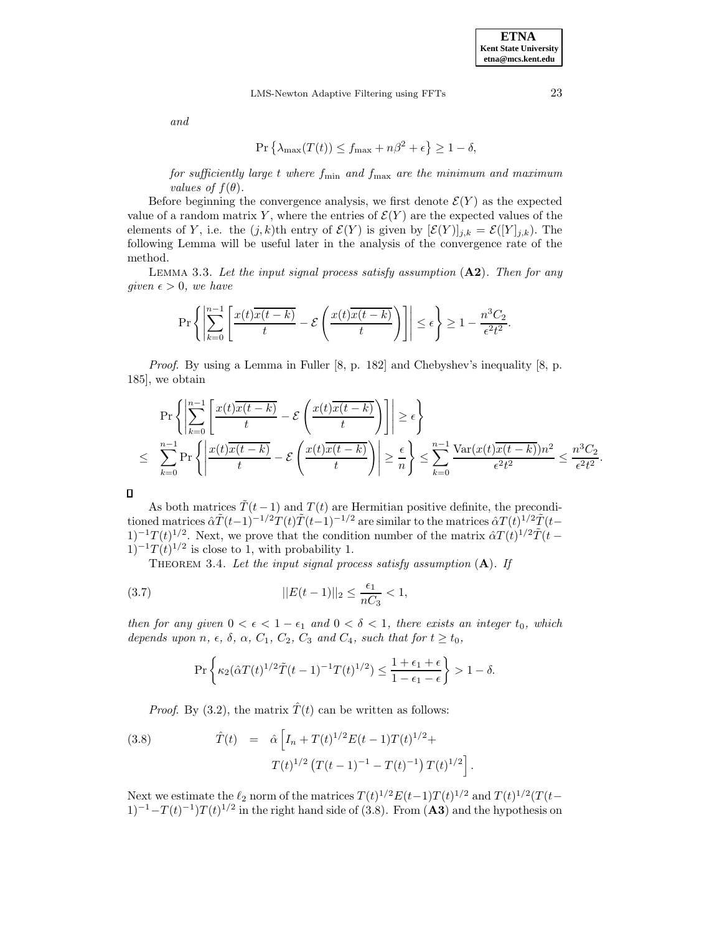and

$$
\Pr\left\{\lambda_{\max}(T(t)) \le f_{\max} + n\beta^2 + \epsilon\right\} \ge 1 - \delta,
$$

for sufficiently large t where  $f_{\min}$  and  $f_{\max}$  are the minimum and maximum values of  $f(\theta)$ .

Before beginning the convergence analysis, we first denote  $\mathcal{E}(Y)$  as the expected value of a random matrix Y, where the entries of  $\mathcal{E}(Y)$  are the expected values of the elements of Y, i.e. the  $(j,k)$ th entry of  $\mathcal{E}(Y)$  is given by  $[\mathcal{E}(Y)]_{j,k} = \mathcal{E}([Y]_{j,k})$ . The following Lemma will be useful later in the analysis of the convergence rate of the method.

Lemma 3.3. Let the input signal process satisfy assumption (**A2**). Then for any given  $\epsilon > 0$ , we have

$$
\Pr\left\{ \left| \sum_{k=0}^{n-1} \left[ \frac{x(t)\overline{x(t-k)}}{t} - \mathcal{E}\left( \frac{x(t)\overline{x(t-k)}}{t} \right) \right] \right| \le \epsilon \right\} \ge 1 - \frac{n^3 C_2}{\epsilon^2 t^2}.
$$

Proof. By using a Lemma in Fuller [8, p. 182] and Chebyshev's inequality [8, p. 185], we obtain

$$
\Pr\left\{\left|\sum_{k=0}^{n-1}\left[\frac{x(t)\overline{x(t-k)}}{t}-\mathcal{E}\left(\frac{x(t)\overline{x(t-k)}}{t}\right)\right]\right|\geq \epsilon\right\}
$$
\n
$$
\leq \sum_{k=0}^{n-1} \Pr\left\{\left|\frac{x(t)\overline{x(t-k)}}{t}-\mathcal{E}\left(\frac{x(t)\overline{x(t-k)}}{t}\right)\right|\geq \frac{\epsilon}{n}\right\} \leq \sum_{k=0}^{n-1} \frac{\text{Var}(x(t)\overline{x(t-k)})n^2}{\epsilon^2 t^2} \leq \frac{n^3 C_2}{\epsilon^2 t^2}.
$$

 $\Box$ 

As both matrices  $\tilde{T}(t-1)$  and  $T(t)$  are Hermitian positive definite, the preconditioned matrices  $\hat{\alpha}\tilde{T}(t-1)^{-1/2}\tilde{T}(t)\tilde{T}(t-1)^{-1/2}$  are similar to the matrices  $\hat{\alpha}T(t)^{1/2}\tilde{T}(t-1)^{-1/2}$  $(1)^{-1}T(t)^{1/2}$ . Next, we prove that the condition number of the matrix  $\hat{\alpha}T(t)^{1/2}\tilde{T}(t-t)$  $1)^{-1}T(t)^{1/2}$  is close to 1, with probability 1.

THEOREM 3.4. Let the input signal process satisfy assumption  $(A)$ . If

(3.7) 
$$
||E(t-1)||_2 \le \frac{\epsilon_1}{nC_3} < 1,
$$

then for any given  $0 < \epsilon < 1 - \epsilon_1$  and  $0 < \delta < 1$ , there exists an integer  $t_0$ , which depends upon n,  $\epsilon$ ,  $\delta$ ,  $\alpha$ ,  $C_1$ ,  $C_2$ ,  $C_3$  and  $C_4$ , such that for  $t \ge t_0$ ,

$$
\Pr\left\{\kappa_2(\hat{\alpha}T(t)^{1/2}\tilde{T}(t-1)^{-1}T(t)^{1/2})\leq \frac{1+\epsilon_1+\epsilon}{1-\epsilon_1-\epsilon}\right\}>1-\delta.
$$

*Proof.* By (3.2), the matrix  $\hat{T}(t)$  can be written as follows:

(3.8) 
$$
\hat{T}(t) = \hat{\alpha} \left[ I_n + T(t)^{1/2} E(t-1) T(t)^{1/2} + T(t)^{1/2} \left( T(t-1)^{-1} - T(t)^{-1} \right) T(t)^{1/2} \right]
$$

Next we estimate the  $\ell_2$  norm of the matrices  $T(t)^{1/2}E(t-1)T(t)^{1/2}$  and  $T(t)^{1/2}(T(t-1))T(t)$  $(1)^{-1}-T(t)^{-1}T(t)^{1/2}$  in the right hand side of (3.8). From (A3) and the hypothesis on

.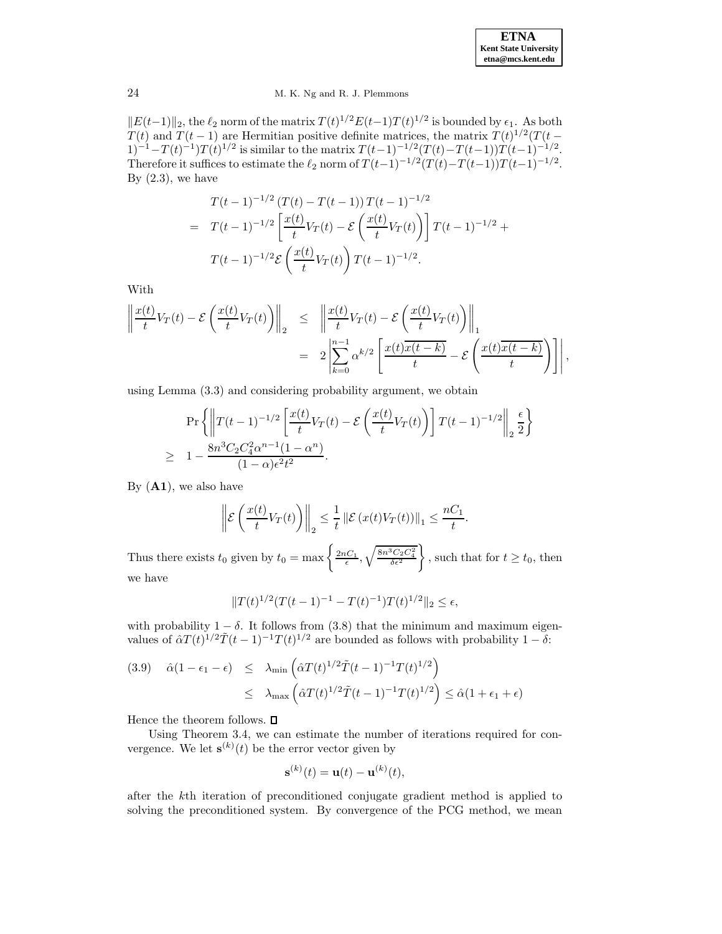| <b>ETNA</b>                  |
|------------------------------|
| <b>Kent State University</b> |
| etna@mcs.kent.edu            |

 $||E(t-1)||_2$ , the  $\ell_2$  norm of the matrix  $T(t)^{1/2}E(t-1)T(t)^{1/2}$  is bounded by  $\epsilon_1$ . As both  $T(t)$  and  $T(t-1)$  are Hermitian positive definite matrices, the matrix  $T(t)^{1/2}(T(t-1))$  $1)^{-1} - T(t)^{-1}T(t)^{1/2}$  is similar to the matrix  $T(t-1)^{-1/2}(T(t)-T(t-1))T(t-1)^{-1/2}$ . Therefore it suffices to estimate the  $\ell_2$  norm of  $T (t-1)^{-1/2}(T (t)-T (t-1))T (t-1)^{-1/2}$ . By  $(2.3)$ , we have

$$
T(t-1)^{-1/2} (T(t) - T(t-1)) T(t-1)^{-1/2}
$$
  
= 
$$
T(t-1)^{-1/2} \left[ \frac{x(t)}{t} V_T(t) - \mathcal{E} \left( \frac{x(t)}{t} V_T(t) \right) \right] T(t-1)^{-1/2} +
$$
  

$$
T(t-1)^{-1/2} \mathcal{E} \left( \frac{x(t)}{t} V_T(t) \right) T(t-1)^{-1/2}.
$$

With

$$
\left\| \frac{x(t)}{t} V_T(t) - \mathcal{E} \left( \frac{x(t)}{t} V_T(t) \right) \right\|_2 \leq \left\| \frac{x(t)}{t} V_T(t) - \mathcal{E} \left( \frac{x(t)}{t} V_T(t) \right) \right\|_1
$$
  

$$
= 2 \left| \sum_{k=0}^{n-1} \alpha^{k/2} \left[ \frac{x(t) \overline{x(t-k)}}{t} - \mathcal{E} \left( \frac{x(t) \overline{x(t-k)}}{t} \right) \right] \right|,
$$

using Lemma (3.3) and considering probability argument, we obtain

$$
\Pr\left\{ \left\| T(t-1)^{-1/2} \left[ \frac{x(t)}{t} V_T(t) - \mathcal{E} \left( \frac{x(t)}{t} V_T(t) \right) \right] T(t-1)^{-1/2} \right\|_2 \frac{\epsilon}{2} \right\}
$$
  
 
$$
\geq 1 - \frac{8n^3 C_2 C_4^2 \alpha^{n-1} (1-\alpha^n)}{(1-\alpha)\epsilon^2 t^2}.
$$

By (**A1**), we also have

$$
\left\| \mathcal{E}\left(\frac{x(t)}{t}V_T(t)\right) \right\|_2 \leq \frac{1}{t} \left\| \mathcal{E}\left(x(t)V_T(t)\right) \right\|_1 \leq \frac{nC_1}{t}.
$$

Thus there exists  $t_0$  given by  $t_0 = \max \left\{ \frac{2nC_1}{\epsilon}, \sqrt{\frac{8n^3C_2C_4^2}{\delta \epsilon^2}} \right\}$ J. , such that for  $t \geq t_0$ , then we have

$$
||T(t)^{1/2}(T(t-1)^{-1} - T(t)^{-1})T(t)^{1/2}||_2 \le \epsilon,
$$

with probability  $1 - \delta$ . It follows from (3.8) that the minimum and maximum eigenvalues of  $\hat{\alpha}T(t)^{1/2}\tilde{T}(t-1)^{-1}T(t)^{1/2}$  are bounded as follows with probability  $1-\delta$ :

(3.9) 
$$
\hat{\alpha}(1 - \epsilon_1 - \epsilon) \leq \lambda_{\min} \left( \hat{\alpha} T(t)^{1/2} \tilde{T}(t-1)^{-1} T(t)^{1/2} \right) \leq \lambda_{\max} \left( \hat{\alpha} T(t)^{1/2} \tilde{T}(t-1)^{-1} T(t)^{1/2} \right) \leq \hat{\alpha}(1 + \epsilon_1 + \epsilon)
$$

Hence the theorem follows.  $\Box$ 

Using Theorem 3.4, we can estimate the number of iterations required for convergence. We let  $\mathbf{s}^{(k)}(t)$  be the error vector given by

$$
\mathbf{s}^{(k)}(t) = \mathbf{u}(t) - \mathbf{u}^{(k)}(t),
$$

after the kth iteration of preconditioned conjugate gradient method is applied to solving the preconditioned system. By convergence of the PCG method, we mean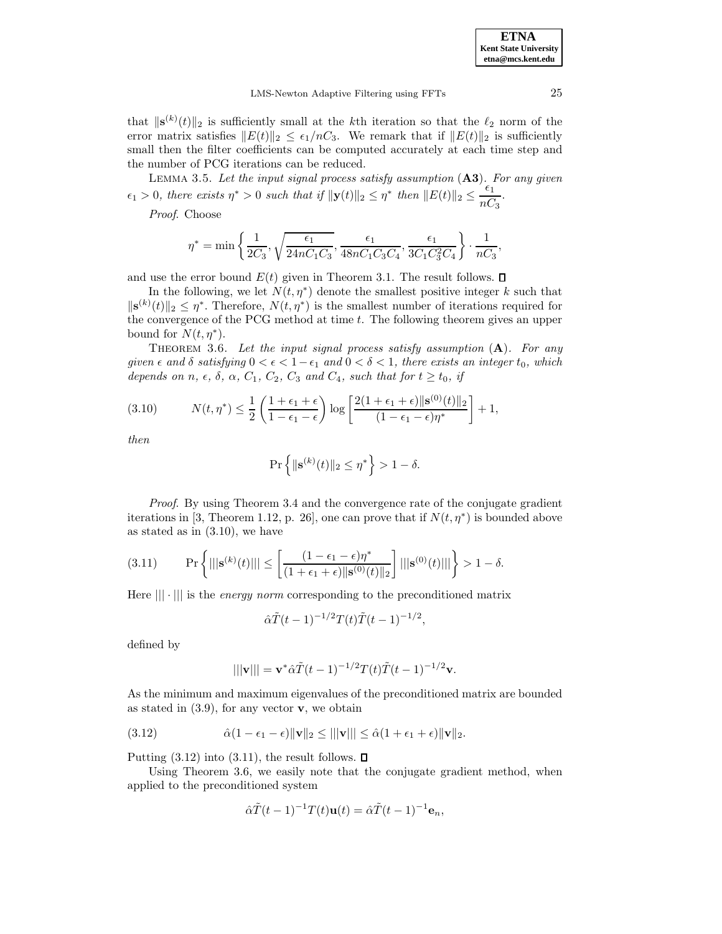that  $\|\mathbf{s}^{(k)}(t)\|_2$  is sufficiently small at the k<sup>th</sup> iteration so that the  $\ell_2$  norm of the error matrix satisfies  $||E(t)||_2 \leq \epsilon_1/nC_3$ . We remark that if  $||E(t)||_2$  is sufficiently small then the filter coefficients can be computed accurately at each time step and the number of PCG iterations can be reduced.

Lemma 3.5. Let the input signal process satisfy assumption (**A3**). For any given  $\epsilon_1 > 0$ , there exists  $\eta^* > 0$  such that if  $\|\mathbf{y}(t)\|_2 \leq \eta^*$  then  $\|E(t)\|_2 \leq \frac{\epsilon_1}{nC_3}$ .

Proof. Choose

$$
\eta^* = \min\left\{\frac{1}{2C_3}, \sqrt{\frac{\epsilon_1}{24nC_1C_3}}, \frac{\epsilon_1}{48nC_1C_3C_4}, \frac{\epsilon_1}{3C_1C_3^2C_4}\right\} \cdot \frac{1}{nC_3},
$$

and use the error bound  $E(t)$  given in Theorem 3.1. The result follows.  $\square$ 

In the following, we let  $N(t,\eta^*)$  denote the smallest positive integer k such that  $\|\mathbf{s}^{(k)}(t)\|_2 \leq \eta^*$ . Therefore,  $N(t, \eta^*)$  is the smallest number of iterations required for the convergence of the PCG method at time t. The following theorem gives an upper bound for  $N(t,\eta^*)$ .

THEOREM 3.6. Let the input signal process satisfy assumption  $(A)$ . For any given  $\epsilon$  and  $\delta$  satisfying  $0 < \epsilon < 1-\epsilon_1$  and  $0 < \delta < 1$ , there exists an integer  $t_0$ , which depends on n,  $\epsilon$ ,  $\delta$ ,  $\alpha$ ,  $C_1$ ,  $C_2$ ,  $C_3$  and  $C_4$ , such that for  $t \ge t_0$ , if

(3.10) 
$$
N(t, \eta^*) \le \frac{1}{2} \left( \frac{1 + \epsilon_1 + \epsilon}{1 - \epsilon_1 - \epsilon} \right) \log \left[ \frac{2(1 + \epsilon_1 + \epsilon) ||\mathbf{s}^{(0)}(t)||_2}{(1 - \epsilon_1 - \epsilon)\eta^*} \right] + 1,
$$

then

$$
\Pr\left\{\|\mathbf{s}^{(k)}(t)\|_2\leq \eta^*\right\}>1-\delta.
$$

Proof. By using Theorem 3.4 and the convergence rate of the conjugate gradient iterations in [3, Theorem 1.12, p. 26], one can prove that if  $N(t, \eta^*)$  is bounded above as stated as in (3.10), we have

(3.11) 
$$
\Pr\left\{|||\mathbf{s}^{(k)}(t)||| \le \left[\frac{(1-\epsilon_1-\epsilon)\eta^*}{(1+\epsilon_1+\epsilon)||\mathbf{s}^{(0)}(t)||_2}\right]|||\mathbf{s}^{(0)}(t)|||\right\} > 1-\delta.
$$

Here  $\| \cdot \|$  is the *energy norm* corresponding to the preconditioned matrix

$$
\hat{\alpha}\tilde{T}(t-1)^{-1/2}T(t)\tilde{T}(t-1)^{-1/2},
$$

defined by

$$
|||\mathbf{v}||| = \mathbf{v}^* \hat{\alpha} \tilde{T} (t-1)^{-1/2} T(t) \tilde{T} (t-1)^{-1/2} \mathbf{v}.
$$

As the minimum and maximum eigenvalues of the preconditioned matrix are bounded as stated in  $(3.9)$ , for any vector **v**, we obtain

(3.12) 
$$
\hat{\alpha}(1-\epsilon_1-\epsilon)\|\mathbf{v}\|_2 \leq ||\|\mathbf{v}|| \leq \hat{\alpha}(1+\epsilon_1+\epsilon)\|\mathbf{v}\|_2.
$$

Putting  $(3.12)$  into  $(3.11)$ , the result follows.  $\square$ 

Using Theorem 3.6, we easily note that the conjugate gradient method, when applied to the preconditioned system

$$
\hat{\alpha}\tilde{T}(t-1)^{-1}T(t)\mathbf{u}(t) = \hat{\alpha}\tilde{T}(t-1)^{-1}\mathbf{e}_n,
$$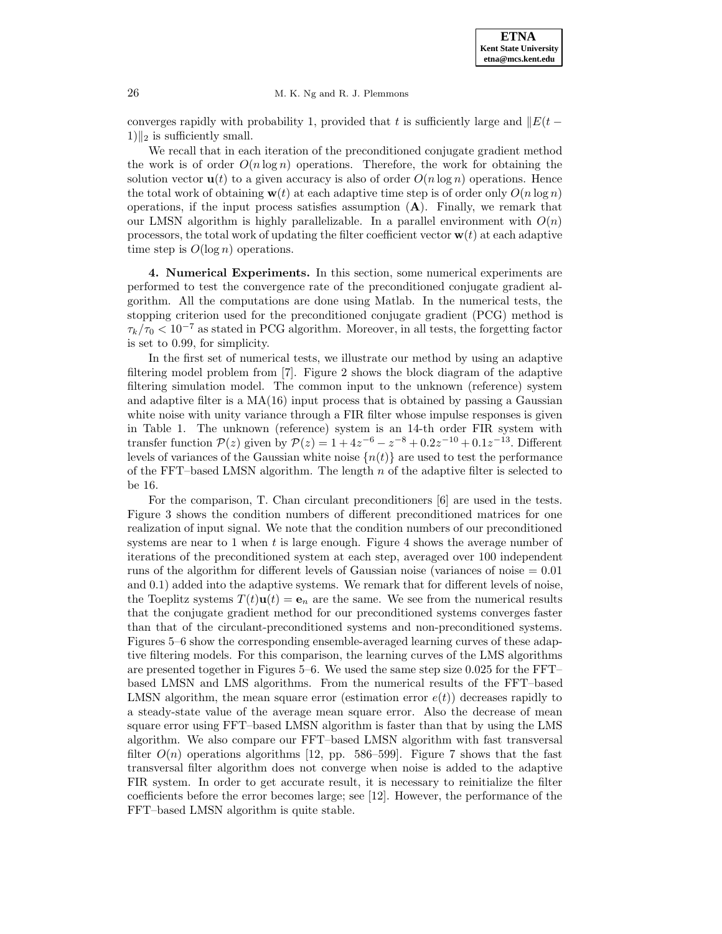converges rapidly with probability 1, provided that t is sufficiently large and  $||E(t 1)\Vert_2$  is sufficiently small.

We recall that in each iteration of the preconditioned conjugate gradient method the work is of order  $O(n \log n)$  operations. Therefore, the work for obtaining the solution vector  $\mathbf{u}(t)$  to a given accuracy is also of order  $O(n \log n)$  operations. Hence the total work of obtaining  $\mathbf{w}(t)$  at each adaptive time step is of order only  $O(n \log n)$ operations, if the input process satisfies assumption (**A**). Finally, we remark that our LMSN algorithm is highly parallelizable. In a parallel environment with  $O(n)$ processors, the total work of updating the filter coefficient vector  $\mathbf{w}(t)$  at each adaptive time step is  $O(\log n)$  operations.

**4. Numerical Experiments.** In this section, some numerical experiments are performed to test the convergence rate of the preconditioned conjugate gradient algorithm. All the computations are done using Matlab. In the numerical tests, the stopping criterion used for the preconditioned conjugate gradient (PCG) method is  $\tau_k/\tau_0 < 10^{-7}$  as stated in PCG algorithm. Moreover, in all tests, the forgetting factor is set to 0.99, for simplicity.

In the first set of numerical tests, we illustrate our method by using an adaptive filtering model problem from [7]. Figure 2 shows the block diagram of the adaptive filtering simulation model. The common input to the unknown (reference) system and adaptive filter is a  $MA(16)$  input process that is obtained by passing a Gaussian white noise with unity variance through a FIR filter whose impulse responses is given in Table 1. The unknown (reference) system is an 14-th order FIR system with transfer function  $P(z)$  given by  $P(z)=1+4z^{-6} - z^{-8} + 0.2z^{-10} + 0.1z^{-13}$ . Different levels of variances of the Gaussian white noise  $\{n(t)\}\$ are used to test the performance of the FFT–based LMSN algorithm. The length  $n$  of the adaptive filter is selected to be 16.

For the comparison, T. Chan circulant preconditioners [6] are used in the tests. Figure 3 shows the condition numbers of different preconditioned matrices for one realization of input signal. We note that the condition numbers of our preconditioned systems are near to 1 when  $t$  is large enough. Figure 4 shows the average number of iterations of the preconditioned system at each step, averaged over 100 independent runs of the algorithm for different levels of Gaussian noise (variances of noise  $= 0.01$ ) and 0.1) added into the adaptive systems. We remark that for different levels of noise, the Toeplitz systems  $T(t)\mathbf{u}(t) = \mathbf{e}_n$  are the same. We see from the numerical results that the conjugate gradient method for our preconditioned systems converges faster than that of the circulant-preconditioned systems and non-preconditioned systems. Figures 5–6 show the corresponding ensemble-averaged learning curves of these adaptive filtering models. For this comparison, the learning curves of the LMS algorithms are presented together in Figures 5–6. We used the same step size 0.025 for the FFT– based LMSN and LMS algorithms. From the numerical results of the FFT–based LMSN algorithm, the mean square error (estimation error  $e(t)$ ) decreases rapidly to a steady-state value of the average mean square error. Also the decrease of mean square error using FFT–based LMSN algorithm is faster than that by using the LMS algorithm. We also compare our FFT–based LMSN algorithm with fast transversal filter  $O(n)$  operations algorithms [12, pp. 586–599]. Figure 7 shows that the fast transversal filter algorithm does not converge when noise is added to the adaptive FIR system. In order to get accurate result, it is necessary to reinitialize the filter coefficients before the error becomes large; see [12]. However, the performance of the FFT–based LMSN algorithm is quite stable.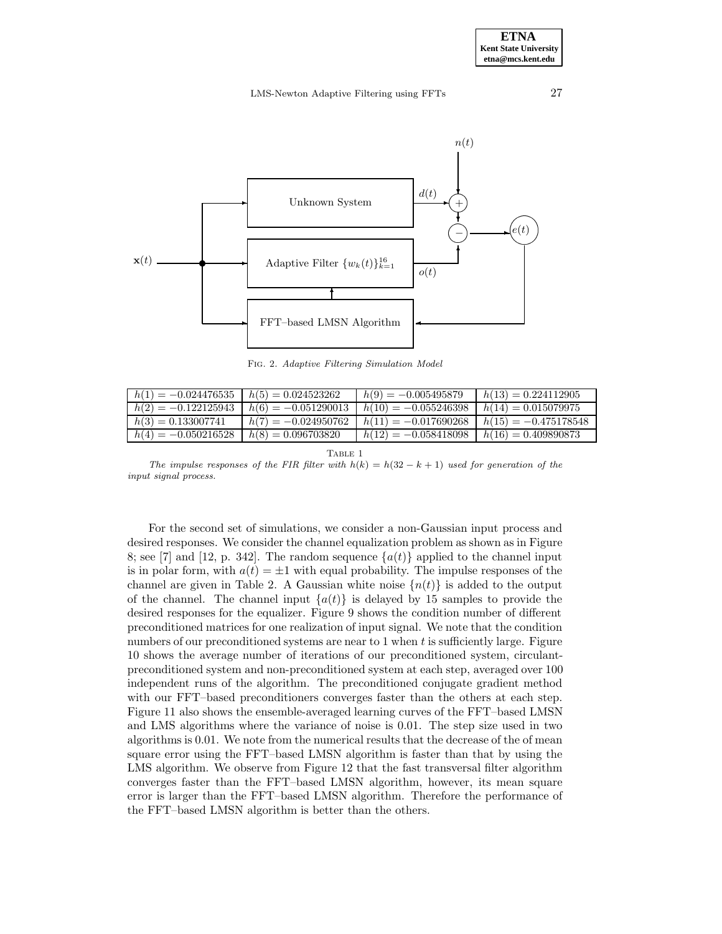

Fig. 2. Adaptive Filtering Simulation Model

| $h(1) = -0.024476535$ | $h(5) = 0.024523262$  | $h(9) = -0.005495879$  | $h(13) = 0.224112905$  |
|-----------------------|-----------------------|------------------------|------------------------|
| $h(2) = -0.122125943$ | $h(6) = -0.051290013$ | $h(10) = -0.055246398$ | $h(14) = 0.015079975$  |
| $h(3) = 0.133007741$  | $h(7) = -0.024950762$ | $h(11) = -0.017690268$ | $h(15) = -0.475178548$ |
| $h(4) = -0.050216528$ | $h(8) = 0.096703820$  | $h(12) = -0.058418098$ | $h(16) = 0.409890873$  |

TABLE 1

The impulse responses of the FIR filter with  $h(k) = h(32 - k + 1)$  used for generation of the input signal process.

For the second set of simulations, we consider a non-Gaussian input process and desired responses. We consider the channel equalization problem as shown as in Figure 8; see [7] and [12, p. 342]. The random sequence  $\{a(t)\}\$ applied to the channel input is in polar form, with  $a(t) = \pm 1$  with equal probability. The impulse responses of the channel are given in Table 2. A Gaussian white noise  $\{n(t)\}\$ is added to the output of the channel. The channel input  ${a(t)}$  is delayed by 15 samples to provide the desired responses for the equalizer. Figure 9 shows the condition number of different preconditioned matrices for one realization of input signal. We note that the condition numbers of our preconditioned systems are near to  $1$  when  $t$  is sufficiently large. Figure 10 shows the average number of iterations of our preconditioned system, circulantpreconditioned system and non-preconditioned system at each step, averaged over 100 independent runs of the algorithm. The preconditioned conjugate gradient method with our FFT–based preconditioners converges faster than the others at each step. Figure 11 also shows the ensemble-averaged learning curves of the FFT–based LMSN and LMS algorithms where the variance of noise is 0.01. The step size used in two algorithms is 0.01. We note from the numerical results that the decrease of the of mean square error using the FFT–based LMSN algorithm is faster than that by using the LMS algorithm. We observe from Figure 12 that the fast transversal filter algorithm converges faster than the FFT–based LMSN algorithm, however, its mean square error is larger than the FFT–based LMSN algorithm. Therefore the performance of the FFT–based LMSN algorithm is better than the others.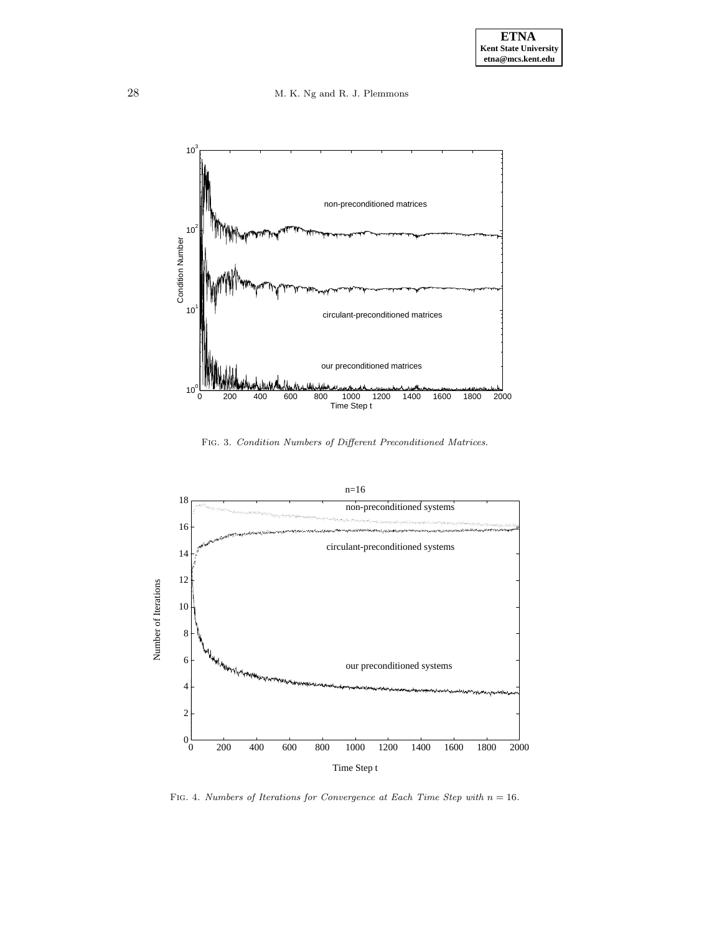28 M. K. Ng and R. J. Plemmons



Fig. 3. Condition Numbers of Different Preconditioned Matrices.



FIG. 4. Numbers of Iterations for Convergence at Each Time Step with  $n = 16$ .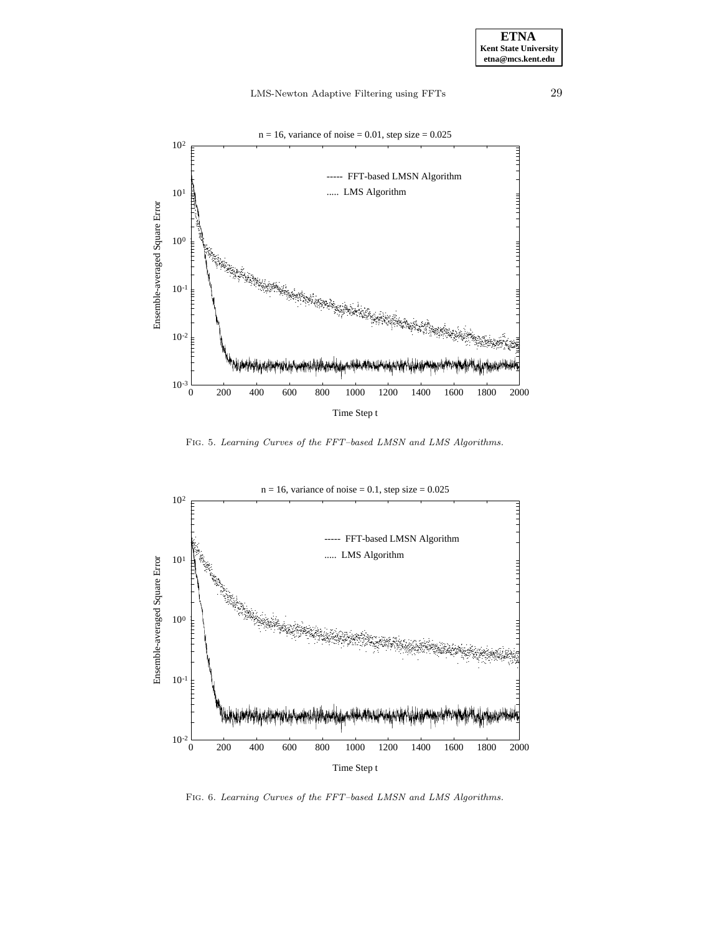

FIG. 5. Learning Curves of the FFT-based LMSN and LMS Algorithms.



FIG. 6. Learning Curves of the FFT-based LMSN and LMS Algorithms.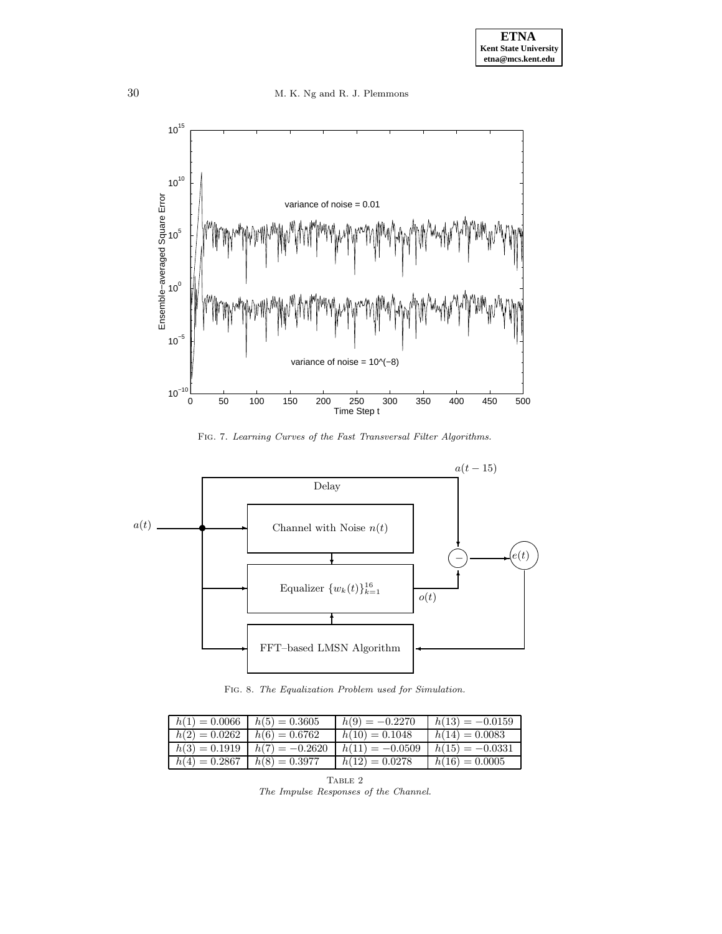30 M. K. Ng and R. J. Plemmons



Fig. 7. Learning Curves of the Fast Transversal Filter Algorithms.



Fig. 8. The Equalization Problem used for Simulation.

| $h(1) = 0.0066$ | $h(5) = 0.3605$  | $h(9) = -0.2270$  | $h(13) = -0.0159$ |
|-----------------|------------------|-------------------|-------------------|
| $h(2) = 0.0262$ | $h(6) = 0.6762$  | $h(10) = 0.1048$  | $h(14) = 0.0083$  |
| $h(3) = 0.1919$ | $h(7) = -0.2620$ | $h(11) = -0.0509$ | $h(15) = -0.0331$ |
| $h(4) = 0.2867$ | $h(8) = 0.3977$  | $h(12) = 0.0278$  | $h(16) = 0.0005$  |

TABLE 2 The Impulse Responses of the Channel.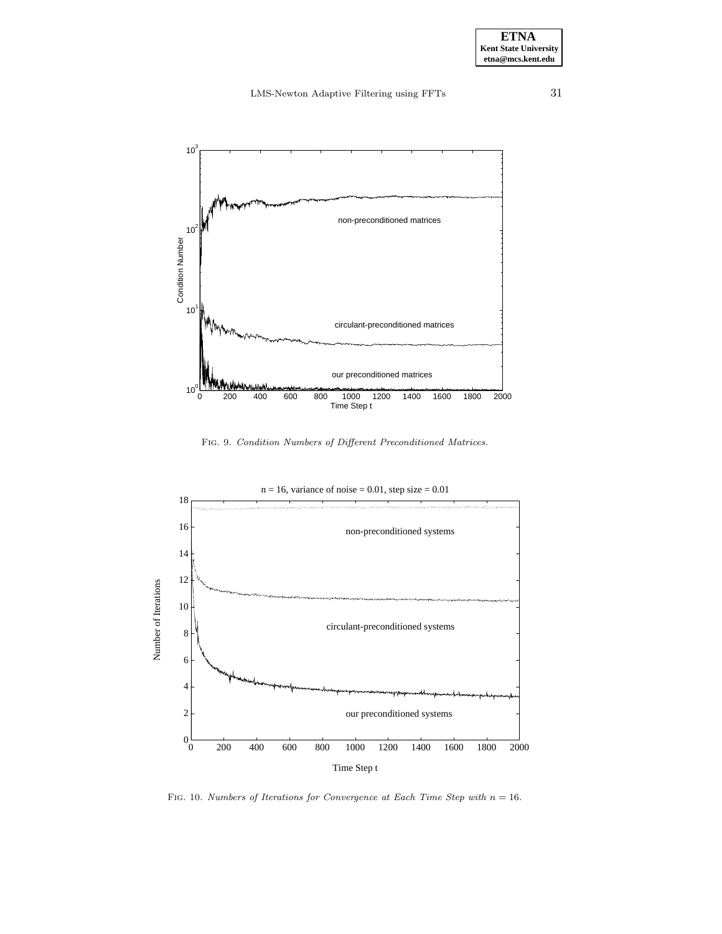

Fig. 9. Condition Numbers of Different Preconditioned Matrices.



FIG. 10. Numbers of Iterations for Convergence at Each Time Step with  $n = 16$ .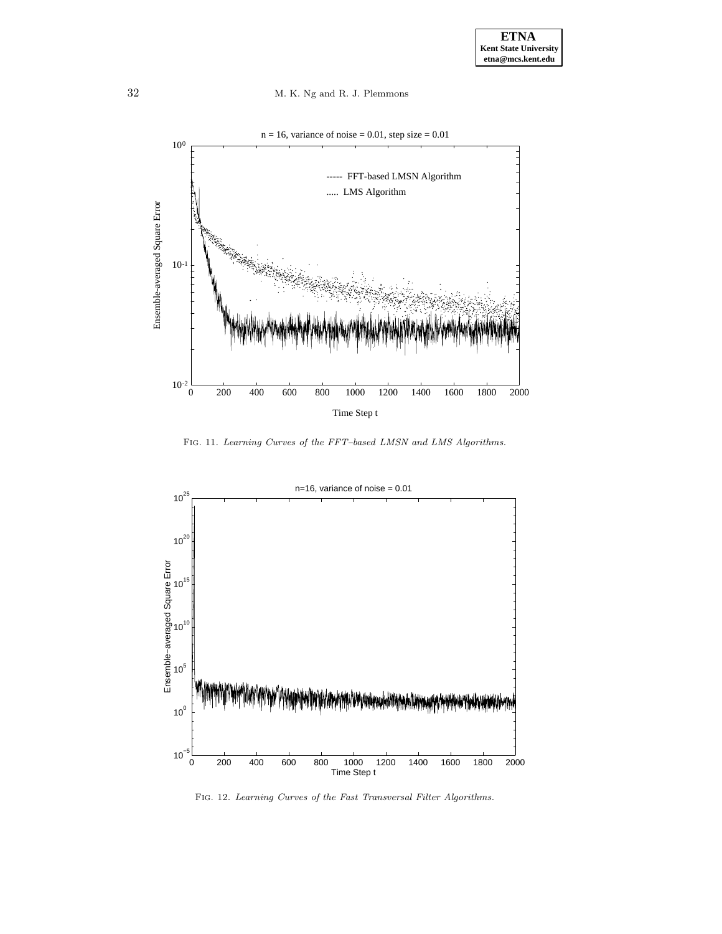

FIG. 11. Learning Curves of the FFT-based LMSN and LMS Algorithms.



FIG. 12. Learning Curves of the Fast Transversal Filter Algorithms.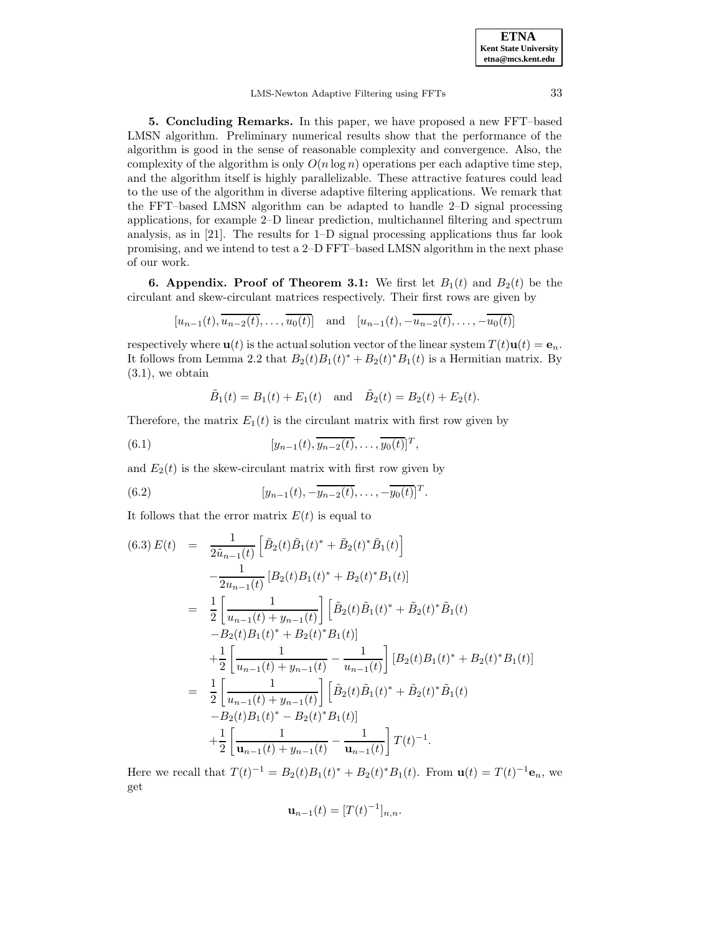LMS-Newton Adaptive Filtering using FFTs 33

**5. Concluding Remarks.** In this paper, we have proposed a new FFT–based LMSN algorithm. Preliminary numerical results show that the performance of the algorithm is good in the sense of reasonable complexity and convergence. Also, the complexity of the algorithm is only  $O(n \log n)$  operations per each adaptive time step, and the algorithm itself is highly parallelizable. These attractive features could lead to the use of the algorithm in diverse adaptive filtering applications. We remark that the FFT–based LMSN algorithm can be adapted to handle 2–D signal processing applications, for example 2–D linear prediction, multichannel filtering and spectrum analysis, as in  $[21]$ . The results for  $1-D$  signal processing applications thus far look promising, and we intend to test a 2–D FFT–based LMSN algorithm in the next phase of our work.

**6. Appendix. Proof of Theorem 3.1:** We first let  $B_1(t)$  and  $B_2(t)$  be the circulant and skew-circulant matrices respectively. Their first rows are given by

$$
[u_{n-1}(t), \overline{u_{n-2}(t)}, \ldots, \overline{u_0(t)}]
$$
 and  $[u_{n-1}(t), -\overline{u_{n-2}(t)}, \ldots, -\overline{u_0(t)}]$ 

respectively where  $\mathbf{u}(t)$  is the actual solution vector of the linear system  $T(t)\mathbf{u}(t) = \mathbf{e}_n$ . It follows from Lemma 2.2 that  $B_2(t)B_1(t)^* + B_2(t)^*B_1(t)$  is a Hermitian matrix. By  $(3.1)$ , we obtain

$$
\tilde{B}_1(t) = B_1(t) + E_1(t)
$$
 and  $\tilde{B}_2(t) = B_2(t) + E_2(t)$ .

Therefore, the matrix  $E_1(t)$  is the circulant matrix with first row given by

(6.1) 
$$
[y_{n-1}(t), \overline{y_{n-2}(t)}, \ldots, \overline{y_0(t)}]^T,
$$

and  $E_2(t)$  is the skew-circulant matrix with first row given by

(6.2) 
$$
[y_{n-1}(t), -\overline{y_{n-2}(t)}, \ldots, -\overline{y_0(t)}]^T.
$$

It follows that the error matrix  $E(t)$  is equal to

$$
(6.3) E(t) = \frac{1}{2\tilde{u}_{n-1}(t)} \left[ \tilde{B}_2(t) \tilde{B}_1(t)^* + \tilde{B}_2(t)^* \tilde{B}_1(t) \right]
$$
  
\n
$$
- \frac{1}{2u_{n-1}(t)} \left[ B_2(t) B_1(t)^* + B_2(t)^* B_1(t) \right]
$$
  
\n
$$
= \frac{1}{2} \left[ \frac{1}{u_{n-1}(t) + y_{n-1}(t)} \right] \left[ \tilde{B}_2(t) \tilde{B}_1(t)^* + \tilde{B}_2(t)^* \tilde{B}_1(t) \right]
$$
  
\n
$$
- B_2(t) B_1(t)^* + B_2(t)^* B_1(t) \right]
$$
  
\n
$$
+ \frac{1}{2} \left[ \frac{1}{u_{n-1}(t) + y_{n-1}(t)} - \frac{1}{u_{n-1}(t)} \right] \left[ B_2(t) B_1(t)^* + B_2(t)^* B_1(t) \right]
$$
  
\n
$$
= \frac{1}{2} \left[ \frac{1}{u_{n-1}(t) + y_{n-1}(t)} \right] \left[ \tilde{B}_2(t) \tilde{B}_1(t)^* + \tilde{B}_2(t)^* \tilde{B}_1(t) \right]
$$
  
\n
$$
- B_2(t) B_1(t)^* - B_2(t)^* B_1(t) \right]
$$
  
\n
$$
+ \frac{1}{2} \left[ \frac{1}{u_{n-1}(t) + y_{n-1}(t)} - \frac{1}{u_{n-1}(t)} \right] T(t)^{-1}.
$$

Here we recall that  $T(t)^{-1} = B_2(t)B_1(t)^* + B_2(t)^*B_1(t)$ . From  $\mathbf{u}(t) = T(t)^{-1}\mathbf{e}_n$ , we get

$$
\mathbf{u}_{n-1}(t) = [T(t)^{-1}]_{n,n}.
$$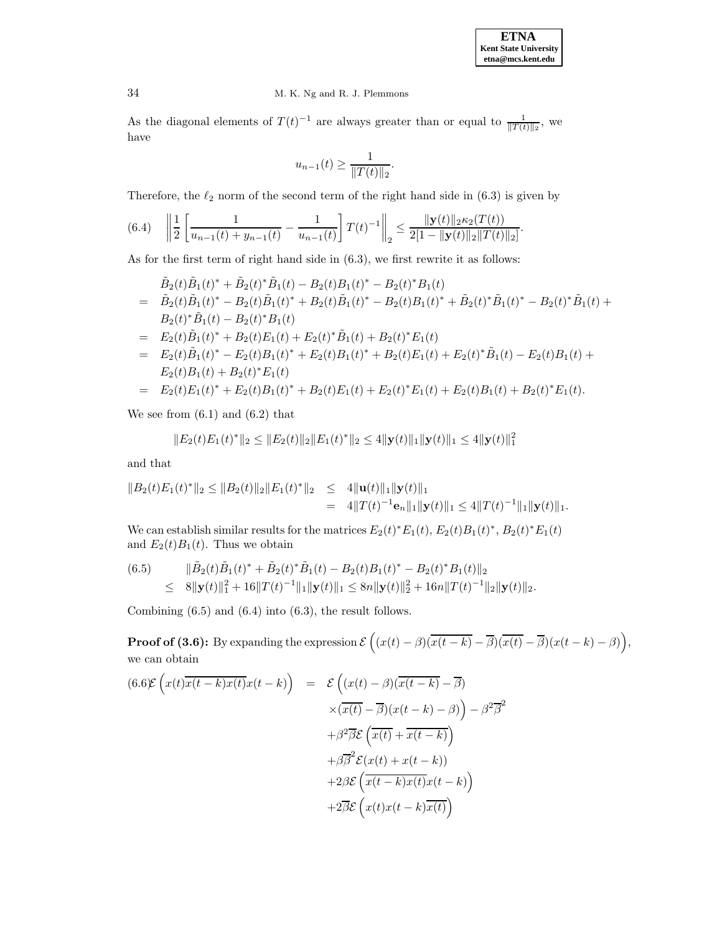

As the diagonal elements of  $T(t)^{-1}$  are always greater than or equal to  $\frac{1}{\|T(t)\|_2}$ , we have

$$
u_{n-1}(t) \ge \frac{1}{\|T(t)\|_2}.
$$

Therefore, the  $\ell_2$  norm of the second term of the right hand side in (6.3) is given by

$$
(6.4) \quad \left\|\frac{1}{2}\left[\frac{1}{u_{n-1}(t)+y_{n-1}(t)}-\frac{1}{u_{n-1}(t)}\right]T(t)^{-1}\right\|_2 \leq \frac{\|\mathbf{y}(t)\|_2\kappa_2(T(t))}{2[1-\|\mathbf{y}(t)\|_2\|T(t)\|_2]}.
$$

As for the first term of right hand side in (6.3), we first rewrite it as follows:

$$
\tilde{B}_2(t)\tilde{B}_1(t)^* + \tilde{B}_2(t)^*\tilde{B}_1(t) - B_2(t)B_1(t)^* - B_2(t)^*B_1(t) \n= \tilde{B}_2(t)\tilde{B}_1(t)^* - B_2(t)\tilde{B}_1(t)^* + B_2(t)\tilde{B}_1(t)^* - B_2(t)B_1(t)^* + \tilde{B}_2(t)^*\tilde{B}_1(t)^* - B_2(t)^*\tilde{B}_1(t) + \nB_2(t)^*\tilde{B}_1(t) - B_2(t)^*B_1(t) \n= E_2(t)\tilde{B}_1(t)^* + B_2(t)E_1(t) + E_2(t)^*\tilde{B}_1(t) + B_2(t)^*E_1(t) \n= E_2(t)\tilde{B}_1(t)^* - E_2(t)B_1(t)^* + E_2(t)B_1(t)^* + B_2(t)E_1(t) + E_2(t)^*\tilde{B}_1(t) - E_2(t)B_1(t) + \nE_2(t)B_1(t) + B_2(t)^*E_1(t) \n= E_2(t)E_1(t)^* + E_2(t)B_1(t)^* + B_2(t)E_1(t) + E_2(t)^*E_1(t) + B_2(t)^*E_1(t).
$$

We see from  $(6.1)$  and  $(6.2)$  that

$$
||E_2(t)E_1(t)^*||_2 \le ||E_2(t)||_2||E_1(t)^*||_2 \le 4||\mathbf{y}(t)||_1||\mathbf{y}(t)||_1 \le 4||\mathbf{y}(t)||_1^2
$$

and that

$$
||B_2(t)E_1(t)^*||_2 \le ||B_2(t)||_2||E_1(t)^*||_2 \le 4||\mathbf{u}(t)||_1||\mathbf{y}(t)||_1
$$
  
= 4||T(t)<sup>-1</sup> $\mathbf{e}_n||_1||\mathbf{y}(t)||_1 \le 4||T(t)^{-1}||_1||\mathbf{y}(t)||_1.$ 

We can establish similar results for the matrices  $E_2(t) * E_1(t)$ ,  $E_2(t)B_1(t) *$ ,  $B_2(t) * E_1(t)$ and  $E_2(t)B_1(t)$ . Thus we obtain

(6.5) 
$$
\|\tilde{B}_2(t)\tilde{B}_1(t)^* + \tilde{B}_2(t)^* \tilde{B}_1(t) - B_2(t)B_1(t)^* - B_2(t)^*B_1(t)\|_2
$$
  
\n
$$
\leq 8\|\mathbf{y}(t)\|_1^2 + 16\|T(t)^{-1}\|_1 \|\mathbf{y}(t)\|_1 \leq 8n\|\mathbf{y}(t)\|_2^2 + 16n\|T(t)^{-1}\|_2 \|\mathbf{y}(t)\|_2.
$$

Combining (6.5) and (6.4) into (6.3), the result follows.

**Proof of (3.6):** By expanding the expression  $\mathcal{E}\left((x(t)-\beta)(\overline{x(t-k)}-\overline{\beta})(\overline{x(t)}-\overline{\beta})(x(t-k)-\beta)\right)$ , we can obtain

$$
(6.6)\mathcal{E}\left(x(t)\overline{x(t-k)}\overline{x(t)}\overline{x(t-k)}\right) = \mathcal{E}\left((x(t)-\beta)(\overline{x(t-k)}-\overline{\beta})\right)
$$

$$
\times(\overline{x(t)}-\overline{\beta})(x(t-k)-\beta)\right) - \beta^2\overline{\beta}^2
$$

$$
+\beta^2\overline{\beta}\mathcal{E}\left(\overline{x(t)}+\overline{x(t-k)}\right)
$$

$$
+\beta\overline{\beta}^2\mathcal{E}(x(t)+x(t-k))
$$

$$
+2\beta\mathcal{E}\left(\overline{x(t-k)}\overline{x(t-k)}\right)
$$

$$
+2\overline{\beta}\mathcal{E}\left(x(t)x(t-k)\overline{x(t)}\right)
$$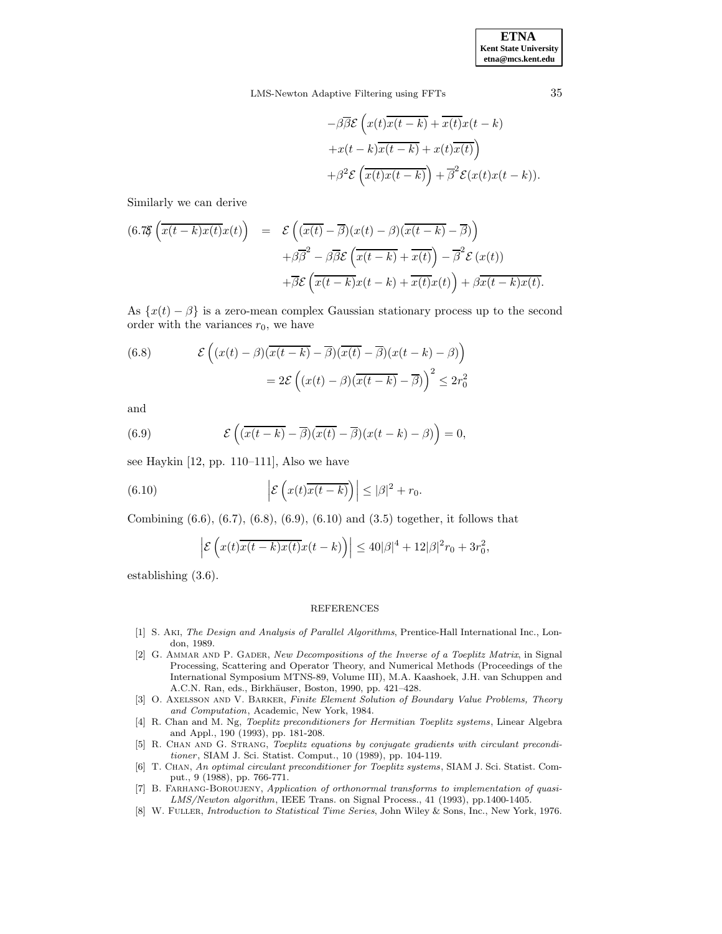LMS-Newton Adaptive Filtering using FFTs 35

$$
-\beta \overline{\beta} \mathcal{E}\left(x(t)\overline{x(t-k)} + \overline{x(t)}x(t-k) + x(t-\overline{k})\overline{x(t-k)} + x(t)\overline{x(t)}\right) + \beta^2 \mathcal{E}\left(\overline{x(t)}x(t-\overline{k})\right) + \overline{\beta}^2 \mathcal{E}(x(t)x(t-k)).
$$

Similarly we can derive

$$
(6.78 \left( \overline{x(t-k)x(t)} x(t) \right) = \mathcal{E} \left( \overline{(x(t)-\beta)} (x(t)-\beta) (\overline{x(t-k)} - \overline{\beta}) \right) + \beta \overline{\beta}^2 - \beta \overline{\beta} \mathcal{E} \left( \overline{x(t-k)} + \overline{x(t)} \right) - \overline{\beta}^2 \mathcal{E} (x(t)) + \overline{\beta} \mathcal{E} \left( \overline{x(t-k)} x(t-k) + \overline{x(t)} x(t) \right) + \beta \overline{x(t-k)} x(t).
$$

As  $\{x(t) - \beta\}$  is a zero-mean complex Gaussian stationary process up to the second order with the variances  $r_0$ , we have

(6.8) 
$$
\mathcal{E}\left((x(t)-\beta)(\overline{x(t-k)}-\overline{\beta})(\overline{x(t)}-\overline{\beta})(x(t-k)-\beta)\right)
$$

$$
=2\mathcal{E}\left((x(t)-\beta)(\overline{x(t-k)}-\overline{\beta})\right)^{2} \leq 2r_{0}^{2}
$$

and

(6.9) 
$$
\mathcal{E}\left(\overline{x(t-k)} - \overline{\beta}\right)\overline{(x(t)-\beta)}(x(t-k)-\beta)\right) = 0,
$$

see Haykin [12, pp. 110–111], Also we have

(6.10) 
$$
\left|\mathcal{E}\left(x(t)\overline{x(t-k)}\right)\right| \leq |\beta|^2 + r_0.
$$

Combining (6.6), (6.7), (6.8), (6.9), (6.10) and (3.5) together, it follows that

$$
\left|\mathcal{E}\left(x(t)\overline{x(t-k)x(t)}x(t-k)\right)\right|\leq 40|\beta|^4+12|\beta|^2r_0+3r_0^2,
$$

establishing (3.6).

#### REFERENCES

- [1] S. Aki, The Design and Analysis of Parallel Algorithms, Prentice-Hall International Inc., London, 1989.
- [2] G. AMMAR AND P. GADER, New Decompositions of the Inverse of a Toeplitz Matrix, in Signal Processing, Scattering and Operator Theory, and Numerical Methods (Proceedings of the International Symposium MTNS-89, Volume III), M.A. Kaashoek, J.H. van Schuppen and A.C.N. Ran, eds., Birkhäuser, Boston, 1990, pp. 421-428.
- [3] O. Axelsson and V. Barker, Finite Element Solution of Boundary Value Problems, Theory and Computation, Academic, New York, 1984.
- [4] R. Chan and M. Ng, Toeplitz preconditioners for Hermitian Toeplitz systems, Linear Algebra and Appl., 190 (1993), pp. 181-208.
- [5] R. CHAN AND G. STRANG, Toeplitz equations by conjugate gradients with circulant preconditioner, SIAM J. Sci. Statist. Comput., 10 (1989), pp. 104-119.
- [6] T. Chan, An optimal circulant preconditioner for Toeplitz systems, SIAM J. Sci. Statist. Comput., 9 (1988), pp. 766-771.
- [7] B. Farhang-Boroujeny, Application of orthonormal transforms to implementation of quasi-LMS/Newton algorithm, IEEE Trans. on Signal Process., 41 (1993), pp.1400-1405.
- [8] W. Fuller, Introduction to Statistical Time Series, John Wiley & Sons, Inc., New York, 1976.